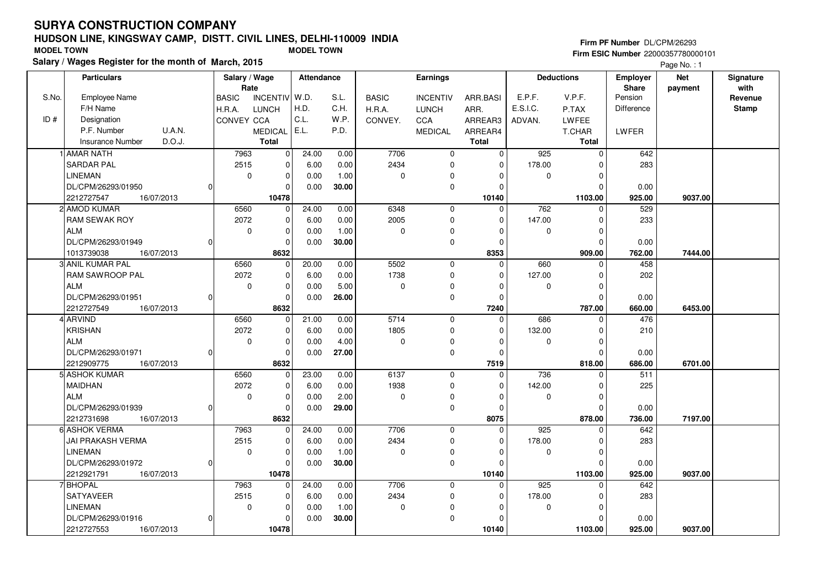# **HUDSON LINE, KINGSWAY CAMP, DISTT. CIVIL LINES, DELHI-110009 INDIASalary / Wages Register for the month of March, 2015 MODEL TOWN MODEL TOWN**

#### **Firm PF Number** DL/CPM/26293 **Firm ESIC Number** 22000357780000101

Page No. : 1

|       | <b>Particulars</b>                |          | Salary / Wage<br>Rate |                | Attendance |       |              | <b>Earnings</b> |              |          | <b>Deductions</b> | <b>Employer</b><br>Share | <b>Net</b> | Signature<br>with |
|-------|-----------------------------------|----------|-----------------------|----------------|------------|-------|--------------|-----------------|--------------|----------|-------------------|--------------------------|------------|-------------------|
| S.No. | <b>Employee Name</b>              |          | <b>BASIC</b>          | INCENTIV W.D.  |            | S.L.  | <b>BASIC</b> | <b>INCENTIV</b> | ARR.BASI     | E.P.F.   | V.P.F.            | Pension                  | payment    | Revenue           |
|       | F/H Name                          |          | H.R.A.                | <b>LUNCH</b>   | H.D.       | C.H.  | H.R.A.       | <b>LUNCH</b>    | ARR.         | E.S.I.C. | P.TAX             | Difference               |            | <b>Stamp</b>      |
| ID#   | Designation                       |          | CONVEY CCA            |                | C.L.       | W.P.  | CONVEY.      | CCA             | ARREAR3      | ADVAN.   | LWFEE             |                          |            |                   |
|       | U.A.N.<br>P.F. Number             |          |                       | MEDICAL   E.L. |            | P.D.  |              | <b>MEDICAL</b>  | ARREAR4      |          | <b>T.CHAR</b>     | LWFER                    |            |                   |
|       | D.O.J.<br><b>Insurance Number</b> |          |                       | Total          |            |       |              |                 | <b>Total</b> |          | Total             |                          |            |                   |
|       | <b>LAMAR NATH</b>                 |          | 7963                  | $\pmb{0}$      | 24.00      | 0.00  | 7706         | $\mathbf 0$     | 0            | 925      | $\mathbf 0$       | 642                      |            |                   |
|       | <b>SARDAR PAL</b>                 |          | 2515                  | 0              | 6.00       | 0.00  | 2434         | $\mathbf 0$     | $\Omega$     | 178.00   | $\Omega$          | 283                      |            |                   |
|       | <b>LINEMAN</b>                    |          | $\mathbf 0$           | $\pmb{0}$      | 0.00       | 1.00  | 0            | $\pmb{0}$       | $\Omega$     | 0        | $\mathbf 0$       |                          |            |                   |
|       | DL/CPM/26293/01950                | $\Omega$ |                       | $\Omega$       | 0.00       | 30.00 |              | $\mathbf 0$     | $\Omega$     |          | $\Omega$          | 0.00                     |            |                   |
|       | 2212727547<br>16/07/2013          |          |                       | 10478          |            |       |              |                 | 10140        |          | 1103.00           | 925.00                   | 9037.00    |                   |
|       | 2 AMOD KUMAR                      |          | 6560                  | $\mathbf 0$    | 24.00      | 0.00  | 6348         | $\mathbf 0$     | $\Omega$     | 762      | $\Omega$          | 529                      |            |                   |
|       | RAM SEWAK ROY                     |          | 2072                  | $\pmb{0}$      | 6.00       | 0.00  | 2005         | $\mathbf 0$     | 0            | 147.00   | 0                 | 233                      |            |                   |
|       | <b>ALM</b>                        |          | $\mathbf 0$           | $\Omega$       | 0.00       | 1.00  | 0            | $\mathbf 0$     | $\Omega$     | 0        | $\Omega$          |                          |            |                   |
|       | DL/CPM/26293/01949                | $\Omega$ |                       | $\Omega$       | 0.00       | 30.00 |              | $\mathbf 0$     | $\Omega$     |          | $\mathbf 0$       | 0.00                     |            |                   |
|       | 1013739038<br>16/07/2013          |          |                       | 8632           |            |       |              |                 | 8353         |          | 909.00            | 762.00                   | 7444.00    |                   |
|       | 3 ANIL KUMAR PAL                  |          | 6560                  | $\mathbf 0$    | 20.00      | 0.00  | 5502         | $\mathbf 0$     | $\Omega$     | 660      | $\Omega$          | 458                      |            |                   |
|       | RAM SAWROOP PAL                   |          | 2072                  | $\pmb{0}$      | 6.00       | 0.00  | 1738         | $\mathbf 0$     | $\Omega$     | 127.00   | $\Omega$          | 202                      |            |                   |
|       | <b>ALM</b>                        |          | $\mathbf 0$           | $\pmb{0}$      | 0.00       | 5.00  | 0            | 0               | $\Omega$     | 0        | $\mathbf 0$       |                          |            |                   |
|       | DL/CPM/26293/01951                | $\Omega$ |                       | $\Omega$       | 0.00       | 26.00 |              | $\pmb{0}$       | $\Omega$     |          | $\Omega$          | 0.00                     |            |                   |
|       | 2212727549<br>16/07/2013          |          |                       | 8632           |            |       |              |                 | 7240         |          | 787.00            | 660.00                   | 6453.00    |                   |
|       | 4 ARVIND                          |          | 6560                  | 0              | 21.00      | 0.00  | 5714         | $\mathbf 0$     | 0            | 686      | $\Omega$          | 476                      |            |                   |
|       | <b>KRISHAN</b>                    |          | 2072                  | $\pmb{0}$      | 6.00       | 0.00  | 1805         | $\pmb{0}$       | $\Omega$     | 132.00   | $\Omega$          | 210                      |            |                   |
|       | <b>ALM</b>                        |          | $\mathbf 0$           | $\pmb{0}$      | 0.00       | 4.00  | 0            | $\pmb{0}$       | $\Omega$     | 0        | $\mathbf 0$       |                          |            |                   |
|       | DL/CPM/26293/01971                | 0        |                       | $\mathbf 0$    | 0.00       | 27.00 |              | $\mathbf 0$     | $\Omega$     |          | $\Omega$          | 0.00                     |            |                   |
|       | 2212909775<br>16/07/2013          |          |                       | 8632           |            |       |              |                 | 7519         |          | 818.00            | 686.00                   | 6701.00    |                   |
|       | 5 ASHOK KUMAR                     |          | 6560                  | 0              | 23.00      | 0.00  | 6137         | $\mathbf 0$     | $\Omega$     | 736      | $\Omega$          | 511                      |            |                   |
|       | <b>MAIDHAN</b>                    |          | 2072                  | 0              | 6.00       | 0.00  | 1938         | $\mathbf 0$     | $\Omega$     | 142.00   | $\mathbf 0$       | 225                      |            |                   |
|       | <b>ALM</b>                        |          | 0                     | $\pmb{0}$      | 0.00       | 2.00  | 0            | 0               | $\Omega$     | 0        | 0                 |                          |            |                   |
|       | DL/CPM/26293/01939                | O        |                       | $\mathbf 0$    | 0.00       | 29.00 |              | $\mathbf 0$     | 0            |          | $\Omega$          | 0.00                     |            |                   |
|       | 2212731698<br>16/07/2013          |          |                       | 8632           |            |       |              |                 | 8075         |          | 878.00            | 736.00                   | 7197.00    |                   |
|       | 6 ASHOK VERMA                     |          | 7963                  | 0              | 24.00      | 0.00  | 7706         | $\mathbf 0$     | 0            | 925      | $\mathbf 0$       | 642                      |            |                   |
|       | JAI PRAKASH VERMA                 |          | 2515                  | $\mathbf 0$    | 6.00       | 0.00  | 2434         | $\mathbf 0$     | $\Omega$     | 178.00   | $\Omega$          | 283                      |            |                   |
|       | <b>LINEMAN</b>                    |          | $\mathbf 0$           | $\mathbf 0$    | 0.00       | 1.00  | 0            | 0               | $\Omega$     | 0        | $\mathbf 0$       |                          |            |                   |
|       | DL/CPM/26293/01972                | $\Omega$ |                       | $\mathbf 0$    | 0.00       | 30.00 |              | $\mathbf 0$     | $\Omega$     |          | $\Omega$          | 0.00                     |            |                   |
|       | 2212921791<br>16/07/2013          |          |                       | 10478          |            |       |              |                 | 10140        |          | 1103.00           | 925.00                   | 9037.00    |                   |
|       | <b>7 BHOPAL</b>                   |          | 7963                  | 0              | 24.00      | 0.00  | 7706         | $\mathbf 0$     | 0            | 925      | $\mathbf 0$       | 642                      |            |                   |
|       | SATYAVEER                         |          | 2515                  | $\pmb{0}$      | 6.00       | 0.00  | 2434         | 0               | 0            | 178.00   | $\Omega$          | 283                      |            |                   |
|       | <b>LINEMAN</b>                    |          | $\mathbf 0$           | $\pmb{0}$      | 0.00       | 1.00  | 0            | 0               | $\Omega$     | 0        | $\Omega$          |                          |            |                   |
|       | DL/CPM/26293/01916                | 0        |                       | $\mathbf 0$    | 0.00       | 30.00 |              | $\pmb{0}$       |              |          | $\Omega$          | 0.00                     |            |                   |
|       | 2212727553<br>16/07/2013          |          |                       | 10478          |            |       |              |                 | 10140        |          | 1103.00           | 925.00                   | 9037.00    |                   |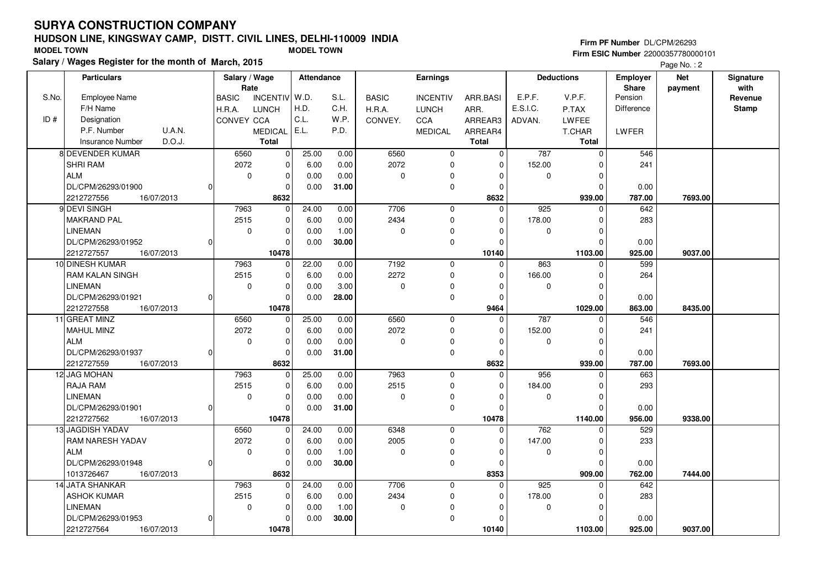# **HUDSON LINE, KINGSWAY CAMP, DISTT. CIVIL LINES, DELHI-110009 INDIASalary / Wages Register for the month of March, 2015 MODEL TOWN MODEL TOWN**

#### **Firm PF Number** DL/CPM/26293

|       | Salary / Wages Register for the month of March, 2015 |                               |                                 |              |                 |                |             |                   |              | Page No.: 2 |              |
|-------|------------------------------------------------------|-------------------------------|---------------------------------|--------------|-----------------|----------------|-------------|-------------------|--------------|-------------|--------------|
|       | <b>Particulars</b>                                   | Salary / Wage                 | Attendance                      |              | Earnings        |                |             | <b>Deductions</b> | Employer     | <b>Net</b>  | Signature    |
|       |                                                      | Rate                          |                                 |              |                 |                |             |                   | <b>Share</b> | payment     | with         |
| S.No. | Employee Name                                        | INCENTIV W.D.<br><b>BASIC</b> | S.L.                            | <b>BASIC</b> | <b>INCENTIV</b> | ARR.BASI       | E.P.F.      | V.P.F.            | Pension      |             | Revenue      |
|       | F/H Name                                             | H.R.A.<br><b>LUNCH</b>        | H.D.<br>C.H.                    | H.R.A.       | <b>LUNCH</b>    | ARR.           | E.S.I.C.    | P.TAX             | Difference   |             | <b>Stamp</b> |
| ID#   | Designation                                          | CONVEY CCA                    | C.L.<br>W.P.                    | CONVEY.      | <b>CCA</b>      | ARREAR3        | ADVAN.      | <b>LWFEE</b>      |              |             |              |
|       | P.F. Number<br>U.A.N.                                | <b>MEDICAL</b>                | E.L.<br>P.D.                    |              | <b>MEDICAL</b>  | ARREAR4        |             | <b>T.CHAR</b>     | LWFER        |             |              |
|       | D.O.J.<br><b>Insurance Number</b>                    | <b>Total</b>                  |                                 |              |                 | <b>Total</b>   |             | Total             |              |             |              |
|       | 8 DEVENDER KUMAR                                     | 6560                          | $\mathbf{0}$<br>25.00<br>0.00   | 6560         | $\mathbf 0$     | $\mathbf 0$    | 787         | $\mathbf 0$       | 546          |             |              |
|       | <b>SHRI RAM</b>                                      | 2072                          | $\overline{0}$<br>6.00<br>0.00  | 2072         | $\mathbf 0$     | $\mathbf 0$    | 152.00      | $\Omega$          | 241          |             |              |
|       | <b>ALM</b>                                           | $\mathbf 0$                   | 0.00<br>$\mathbf 0$<br>0.00     | $\mathbf 0$  | $\Omega$        | $\Omega$       | 0           | $\Omega$          |              |             |              |
|       | DL/CPM/26293/01900                                   | $\Omega$                      | 0.00<br>31.00<br>0              |              | $\mathbf 0$     | $\Omega$       |             | $\Omega$          | 0.00         |             |              |
|       | 2212727556<br>16/07/2013                             | 8632                          |                                 |              |                 | 8632           |             | 939.00            | 787.00       | 7693.00     |              |
|       | 9 DEVI SINGH                                         | 7963                          | 24.00<br>0.00<br>0              | 7706         | $\mathbf 0$     | $\Omega$       | 925         | $\Omega$          | 642          |             |              |
|       | MAKRAND PAL                                          | 2515                          | $\mathbf 0$<br>6.00<br>0.00     | 2434         | 0               | $\mathbf 0$    | 178.00      | $\Omega$          | 283          |             |              |
|       | <b>LINEMAN</b>                                       | $\mathbf 0$                   | $\mathbf 0$<br>0.00<br>1.00     | $\mathbf 0$  | $\mathbf 0$     | $\Omega$       | $\mathbf 0$ | $\Omega$          |              |             |              |
|       | DL/CPM/26293/01952                                   | O                             | 30.00<br>0<br>0.00              |              | $\mathbf 0$     | $\Omega$       |             | $\Omega$          | 0.00         |             |              |
|       | 2212727557<br>16/07/2013                             | 10478                         |                                 |              |                 | 10140          |             | 1103.00           | 925.00       | 9037.00     |              |
|       | 10 DINESH KUMAR                                      | 7963                          | 22.00<br>0.00<br>$\overline{0}$ | 7192         | $\mathbf 0$     | $\Omega$       | 863         | $\Omega$          | 599          |             |              |
|       | <b>RAM KALAN SINGH</b>                               | 2515                          | 0.00<br>0<br>6.00               | 2272         | $\mathbf 0$     | $\mathbf 0$    | 166.00      | $\Omega$          | 264          |             |              |
|       | <b>LINEMAN</b>                                       | $\mathbf 0$                   | $\mathbf 0$<br>3.00<br>0.00     | $\mathbf 0$  | $\mathbf 0$     | $\Omega$       | $\mathbf 0$ | $\Omega$          |              |             |              |
|       | DL/CPM/26293/01921                                   | $\Omega$                      | 0.00<br>28.00<br>$\Omega$       |              | $\mathbf 0$     | $\Omega$       |             | $\Omega$          | 0.00         |             |              |
|       | 2212727558<br>16/07/2013                             | 10478                         |                                 |              |                 | 9464           |             | 1029.00           | 863.00       | 8435.00     |              |
|       | 11 GREAT MINZ                                        | 6560                          | 25.00<br>0.00<br>0              | 6560         | $\mathbf 0$     | $\overline{0}$ | 787         | $\Omega$          | 546          |             |              |
|       | <b>MAHUL MINZ</b>                                    | 2072                          | 0<br>6.00<br>0.00               | 2072         | $\mathbf 0$     | $\Omega$       | 152.00      | $\Omega$          | 241          |             |              |
|       | <b>ALM</b>                                           | $\mathbf 0$                   | 0.00<br>$\mathbf 0$<br>0.00     | $\mathbf 0$  | $\Omega$        | $\Omega$       | $\mathbf 0$ | $\Omega$          |              |             |              |
|       | DL/CPM/26293/01937                                   | $\Omega$                      | 0.00<br>31.00<br>0              |              | $\mathbf 0$     | $\Omega$       |             | $\Omega$          | 0.00         |             |              |
|       | 2212727559<br>16/07/2013                             | 8632                          |                                 |              |                 | 8632           |             | 939.00            | 787.00       | 7693.00     |              |
|       | 12 JAG MOHAN                                         | 7963                          | 25.00<br>0.00<br>0              | 7963         | $\mathbf 0$     | $\Omega$       | 956         | $\Omega$          | 663          |             |              |
|       | RAJA RAM                                             | 2515                          | $\mathbf 0$<br>6.00<br>0.00     | 2515         | 0               | $\Omega$       | 184.00      | $\Omega$          | 293          |             |              |
|       | <b>LINEMAN</b>                                       | $\mathbf 0$                   | $\mathbf 0$<br>0.00<br>0.00     | $\mathbf 0$  | $\mathbf 0$     | $\Omega$       | $\mathbf 0$ | $\Omega$          |              |             |              |
|       | DL/CPM/26293/01901                                   | O                             | 31.00<br>0<br>0.00              |              | $\mathbf 0$     | $\Omega$       |             | $\Omega$          | 0.00         |             |              |
|       | 2212727562<br>16/07/2013                             | 10478                         |                                 |              |                 | 10478          |             | 1140.00           | 956.00       | 9338.00     |              |
|       | 13 JAGDISH YADAV                                     | 6560                          | $\overline{0}$<br>24.00<br>0.00 | 6348         | $\mathbf 0$     | $\Omega$       | 762         | $\Omega$          | 529          |             |              |
|       | <b>RAM NARESH YADAV</b>                              | 2072                          | 0.00<br>0<br>6.00               | 2005         | $\mathbf 0$     | $\mathbf 0$    | 147.00      | $\Omega$          | 233          |             |              |
|       | <b>ALM</b>                                           | $\mathbf 0$                   | $\mathbf 0$<br>0.00<br>1.00     | $\mathbf 0$  | $\mathbf 0$     | $\Omega$       | $\mathbf 0$ | $\Omega$          |              |             |              |
|       | DL/CPM/26293/01948                                   | $\Omega$                      | 0.00<br>30.00<br>$\Omega$       |              | $\mathbf 0$     | $\Omega$       |             | $\Omega$          | 0.00         |             |              |
|       | 1013726467<br>16/07/2013                             | 8632                          |                                 |              |                 | 8353           |             | 909.00            | 762.00       | 7444.00     |              |
|       | 14 JATA SHANKAR                                      | 7963                          | 24.00<br>0.00<br>0              | 7706         | $\mathbf 0$     | $\mathbf{0}$   | 925         | $\mathbf 0$       | 642          |             |              |
|       | <b>ASHOK KUMAR</b>                                   | 2515                          | $\mathbf 0$<br>6.00<br>0.00     | 2434         | $\mathbf 0$     | $\Omega$       | 178.00      | $\Omega$          | 283          |             |              |
|       | <b>LINEMAN</b>                                       | $\mathbf 0$                   | $\mathbf 0$<br>1.00<br>0.00     | $\mathbf 0$  | 0               | $\Omega$       | 0           | $\Omega$          |              |             |              |
|       | DL/CPM/26293/01953                                   | $\Omega$                      | 30.00<br>0<br>0.00              |              | $\mathbf 0$     | $\Omega$       |             | $\Omega$          | 0.00         |             |              |
|       | 2212727564<br>16/07/2013                             | 10478                         |                                 |              |                 | 10140          |             | 1103.00           | 925.00       | 9037.00     |              |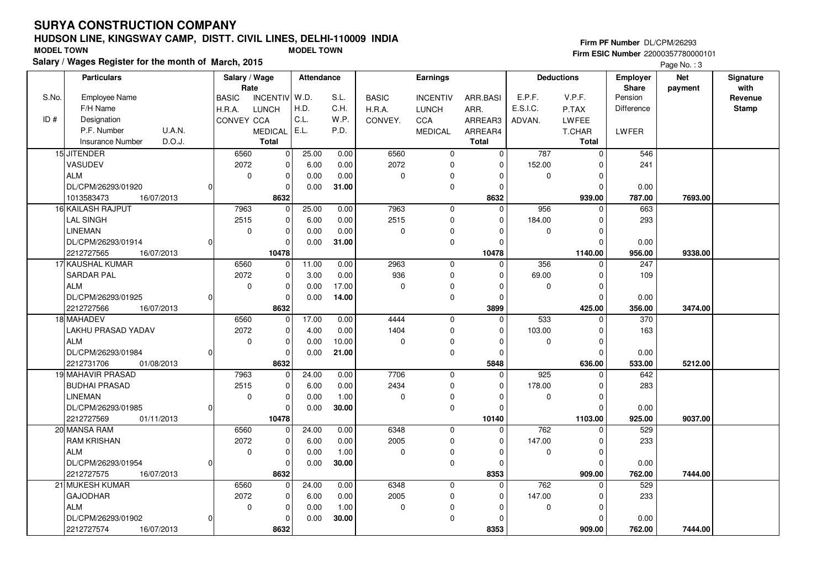# **HUDSON LINE, KINGSWAY CAMP, DISTT. CIVIL LINES, DELHI-110009 INDIASalary / Wages Register for the month of March, 2015 MODEL TOWN MODEL TOWN**

#### **Firm PF Number** DL/CPM/26293

|       | Salary / Wages Register for the month of March, 2015 |                                 |                   |              |                 |                |             |                   |              | Page No.: 3 |              |
|-------|------------------------------------------------------|---------------------------------|-------------------|--------------|-----------------|----------------|-------------|-------------------|--------------|-------------|--------------|
|       | <b>Particulars</b>                                   | Salary / Wage                   | <b>Attendance</b> |              | Earnings        |                |             | <b>Deductions</b> | Employer     | <b>Net</b>  | Signature    |
|       |                                                      | Rate                            |                   |              |                 |                |             |                   | <b>Share</b> | payment     | with         |
| S.No. | <b>Employee Name</b>                                 | <b>INCENTIV</b><br><b>BASIC</b> | W.D.<br>S.L.      | <b>BASIC</b> | <b>INCENTIV</b> | ARR.BASI       | E.P.F.      | V.P.F.            | Pension      |             | Revenue      |
|       | F/H Name                                             | H.R.A.<br><b>LUNCH</b>          | H.D.<br>C.H.      | H.R.A.       | <b>LUNCH</b>    | ARR.           | E.S.I.C.    | P.TAX             | Difference   |             | <b>Stamp</b> |
| ID#   | Designation                                          | <b>CONVEY CCA</b>               | C.L.<br>W.P.      | CONVEY.      | <b>CCA</b>      | ARREAR3        | ADVAN.      | <b>LWFEE</b>      |              |             |              |
|       | P.F. Number<br>U.A.N.                                | <b>MEDICAL</b>                  | E.L.<br>P.D.      |              | <b>MEDICAL</b>  | ARREAR4        |             | <b>T.CHAR</b>     | LWFER        |             |              |
|       | D.O.J.<br><b>Insurance Number</b>                    | <b>Total</b>                    |                   |              |                 | <b>Total</b>   |             | Total             |              |             |              |
|       | 15 JITENDER                                          | 6560<br>$\mathbf 0$             | 25.00<br>0.00     | 6560         | $\mathbf 0$     | $\overline{0}$ | 787         | $\mathbf 0$       | 546          |             |              |
|       | VASUDEV                                              | 2072<br>$\Omega$                | 0.00<br>6.00      | 2072         | $\mathbf 0$     | $\Omega$       | 152.00      |                   | 241          |             |              |
|       | <b>ALM</b>                                           | 0<br>$\mathbf 0$                | 0.00<br>0.00      | 0            | 0               | $\mathbf 0$    | 0           | $\mathbf 0$       |              |             |              |
|       | DL/CPM/26293/01920<br>$\overline{0}$                 | $\mathbf 0$                     | 0.00<br>31.00     |              | $\mathbf 0$     | 0              |             | $\Omega$          | 0.00         |             |              |
|       | 1013583473<br>16/07/2013                             | 8632                            |                   |              |                 | 8632           |             | 939.00            | 787.00       | 7693.00     |              |
|       | 16 KAILASH RAJPUT                                    | 7963<br>$\Omega$                | 25.00<br>0.00     | 7963         | $\mathbf 0$     | $\Omega$       | 956         | $\Omega$          | 663          |             |              |
|       | <b>LAL SINGH</b>                                     | 2515<br>$\mathbf 0$             | 0.00<br>6.00      | 2515         | $\mathbf 0$     | $\Omega$       | 184.00      | $\Omega$          | 293          |             |              |
|       | <b>LINEMAN</b>                                       | $\mathbf 0$<br>$\mathbf 0$      | 0.00<br>0.00      | 0            | $\mathbf 0$     | $\Omega$       | $\mathbf 0$ | $\Omega$          |              |             |              |
|       | DL/CPM/26293/01914<br>U                              | $\Omega$                        | 0.00<br>31.00     |              | $\mathbf 0$     | $\Omega$       |             | $\Omega$          | 0.00         |             |              |
|       | 2212727565<br>16/07/2013                             | 10478                           |                   |              |                 | 10478          |             | 1140.00           | 956.00       | 9338.00     |              |
|       | 17 KAUSHAL KUMAR                                     | 6560<br>$\mathbf 0$             | 11.00<br>0.00     | 2963         | $\mathbf 0$     | $\Omega$       | 356         | $\Omega$          | 247          |             |              |
|       | <b>SARDAR PAL</b>                                    | 2072<br>0                       | 3.00<br>0.00      | 936          | $\mathbf 0$     | $\Omega$       | 69.00       | $\Omega$          | 109          |             |              |
|       | <b>ALM</b>                                           | $\mathbf 0$<br>$\mathbf 0$      | 0.00<br>17.00     | 0            | $\pmb{0}$       | $\Omega$       | 0           | $\Omega$          |              |             |              |
|       | DL/CPM/26293/01925<br>$\Omega$                       | $\mathbf 0$                     | 0.00<br>14.00     |              | $\mathbf 0$     | 0              |             | $\Omega$          | 0.00         |             |              |
|       | 2212727566<br>16/07/2013                             | 8632                            |                   |              |                 | 3899           |             | 425.00            | 356.00       | 3474.00     |              |
|       | 18 MAHADEV                                           | 6560<br>$\mathbf 0$             | 17.00<br>0.00     | 4444         | $\mathbf 0$     | $\Omega$       | 533         | O                 | 370          |             |              |
|       | LAKHU PRASAD YADAV                                   | 2072<br>$\mathbf 0$             | 4.00<br>0.00      | 1404         | $\mathbf 0$     | $\Omega$       | 103.00      | $\Omega$          | 163          |             |              |
|       | <b>ALM</b>                                           | 0<br>$\mathbf 0$                | 10.00<br>0.00     | 0            | 0               | 0              | 0           | $\mathbf 0$       |              |             |              |
|       | DL/CPM/26293/01984<br>$\overline{0}$                 | $\mathbf 0$                     | 0.00<br>21.00     |              | $\mathbf 0$     | $\mathbf 0$    |             | $\Omega$          | 0.00         |             |              |
|       | 2212731706<br>01/08/2013                             | 8632                            |                   |              |                 | 5848           |             | 636.00            | 533.00       | 5212.00     |              |
|       | 19 MAHAVIR PRASAD                                    | 7963<br>$\Omega$                | 24.00<br>0.00     | 7706         | $\Omega$        | $\Omega$       | 925         | $\Omega$          | 642          |             |              |
|       | <b>BUDHAI PRASAD</b>                                 | 2515<br>0                       | 6.00<br>0.00      | 2434         | $\mathbf 0$     | $\mathbf 0$    | 178.00      | $\Omega$          | 283          |             |              |
|       | <b>LINEMAN</b>                                       | $\mathbf 0$<br>$\mathbf 0$      | 1.00<br>0.00      | 0            | $\mathbf 0$     | $\Omega$       | $\mathbf 0$ | $\Omega$          |              |             |              |
|       | DL/CPM/26293/01985<br>$\Omega$                       | $\Omega$                        | 30.00<br>0.00     |              | $\mathbf 0$     | $\Omega$       |             | $\Omega$          | 0.00         |             |              |
|       | 2212727569<br>01/11/2013                             | 10478                           |                   |              |                 | 10140          |             | 1103.00           | 925.00       | 9037.00     |              |
|       | 20 MANSA RAM                                         | 6560<br>$\mathbf 0$             | 24.00<br>0.00     | 6348         | $\mathsf 0$     | $\mathbf 0$    | 762         | $\mathbf 0$       | 529          |             |              |
|       | <b>RAM KRISHAN</b>                                   | 2072<br>0                       | 0.00<br>6.00      | 2005         | $\mathbf 0$     | 0              | 147.00      | $\Omega$          | 233          |             |              |
|       | <b>ALM</b>                                           | $\mathbf 0$<br>$\mathbf 0$      | 0.00<br>1.00      | 0            | $\pmb{0}$       | $\Omega$       | $\mathbf 0$ | $\Omega$          |              |             |              |
|       | DL/CPM/26293/01954<br>$\Omega$                       | $\Omega$                        | 0.00<br>30.00     |              | $\mathbf 0$     | $\Omega$       |             | $\Omega$          | 0.00         |             |              |
|       | 2212727575<br>16/07/2013                             | 8632                            |                   |              |                 | 8353           |             | 909.00            | 762.00       | 7444.00     |              |
|       | 21 MUKESH KUMAR                                      | 6560<br>$\mathbf 0$             | 24.00<br>0.00     | 6348         | $\mathbf 0$     | $\mathbf 0$    | 762         | $\Omega$          | 529          |             |              |
|       | <b>GAJODHAR</b>                                      | 2072<br>0                       | 6.00<br>0.00      | 2005         | $\mathbf 0$     | 0              | 147.00      | $\Omega$          | 233          |             |              |
|       | <b>ALM</b>                                           | $\mathbf 0$<br>$\mathbf 0$      | 1.00<br>0.00      | 0            | 0               | 0              | 0           | $\Omega$          |              |             |              |
|       | DL/CPM/26293/01902<br>$\Omega$                       | $\Omega$                        | 0.00<br>30.00     |              | $\mathbf 0$     | $\Omega$       |             | $\Omega$          | 0.00         |             |              |
|       | 2212727574<br>16/07/2013                             | 8632                            |                   |              |                 | 8353           |             | 909.00            | 762.00       | 7444.00     |              |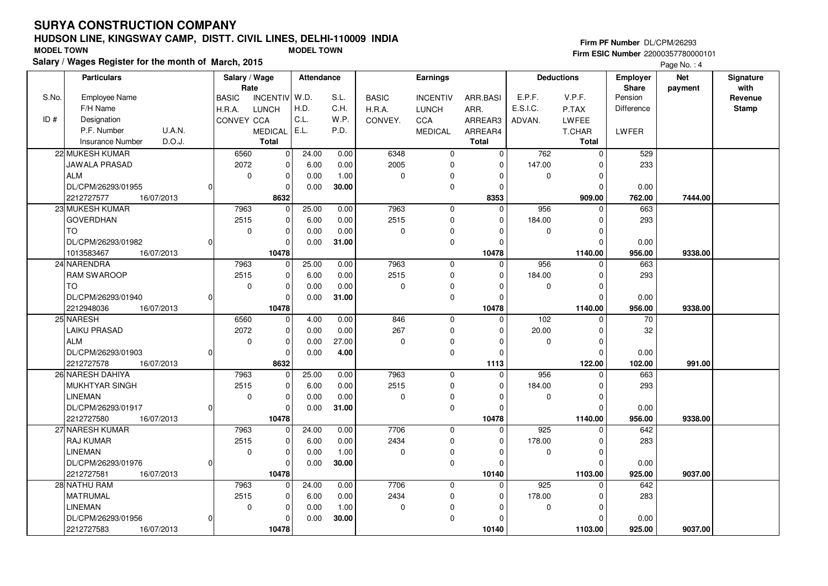# **HUDSON LINE, KINGSWAY CAMP, DISTT. CIVIL LINES, DELHI-110009 INDIASalary / Wages Register for the month of March, 2015 MODEL TOWN MODEL TOWN**

#### **Firm PF Number** DL/CPM/26293

|       | Salary / Wages Register for the month of March, 2015 |                   |                 |                   |       |              |                 |              |          |                   |              | Page No.: 4 |              |
|-------|------------------------------------------------------|-------------------|-----------------|-------------------|-------|--------------|-----------------|--------------|----------|-------------------|--------------|-------------|--------------|
|       | <b>Particulars</b>                                   | Salary / Wage     |                 | <b>Attendance</b> |       |              | Earnings        |              |          | <b>Deductions</b> | Employer     | <b>Net</b>  | Signature    |
|       |                                                      | Rate              |                 |                   |       |              |                 |              |          |                   | <b>Share</b> | payment     | with         |
| S.No. | Employee Name                                        | <b>BASIC</b>      | <b>INCENTIV</b> | W.D.              | S.L.  | <b>BASIC</b> | <b>INCENTIV</b> | ARR.BASI     | E.P.F.   | V.P.F.            | Pension      |             | Revenue      |
|       | F/H Name                                             | H.R.A.            | <b>LUNCH</b>    | H.D.              | C.H.  | H.R.A.       | <b>LUNCH</b>    | ARR.         | E.S.I.C. | P.TAX             | Difference   |             | <b>Stamp</b> |
| ID#   | Designation                                          | <b>CONVEY CCA</b> |                 | C.L.              | W.P.  | CONVEY.      | <b>CCA</b>      | ARREAR3      | ADVAN.   | <b>LWFEE</b>      |              |             |              |
|       | P.F. Number<br>U.A.N.                                |                   | <b>MEDICAL</b>  | E.L.              | P.D.  |              | <b>MEDICAL</b>  | ARREAR4      |          | T.CHAR            | LWFER        |             |              |
|       | D.O.J.<br><b>Insurance Number</b>                    |                   | <b>Total</b>    |                   |       |              |                 | <b>Total</b> |          | <b>Total</b>      |              |             |              |
|       | 22 MUKESH KUMAR                                      | 6560              | $\mathbf{0}$    | 24.00             | 0.00  | 6348         | $\mathbf 0$     | $\Omega$     | 762      | $\mathbf 0$       | 529          |             |              |
|       | JAWALA PRASAD                                        | 2072              | 0               | 6.00              | 0.00  | 2005         | $\mathbf 0$     | $\Omega$     | 147.00   | $\Omega$          | 233          |             |              |
|       | <b>ALM</b>                                           | $\mathbf 0$       | 0               | 0.00              | 1.00  | $\mathbf 0$  | 0               | 0            | 0        | $\mathbf 0$       |              |             |              |
|       | DL/CPM/26293/01955                                   | $\Omega$          | 0               | 0.00              | 30.00 |              | $\pmb{0}$       | $\Omega$     |          | $\overline{0}$    | 0.00         |             |              |
|       | 2212727577<br>16/07/2013                             |                   | 8632            |                   |       |              |                 | 8353         |          | 909.00            | 762.00       | 7444.00     |              |
|       | 23 MUKESH KUMAR                                      | 7963              | 0               | 25.00             | 0.00  | 7963         | $\mathbf 0$     | $\Omega$     | 956      | $\Omega$          | 663          |             |              |
|       | <b>GOVERDHAN</b>                                     | 2515              | 0               | 6.00              | 0.00  | 2515         | 0               | $\Omega$     | 184.00   | $\mathbf 0$       | 293          |             |              |
|       | TO.                                                  | $\mathbf 0$       | 0               | 0.00              | 0.00  | 0            | $\mathbf 0$     | $\Omega$     | 0        | $\mathbf 0$       |              |             |              |
|       | DL/CPM/26293/01982                                   | O                 | <sup>0</sup>    | 0.00              | 31.00 |              | $\pmb{0}$       | $\Omega$     |          | $\Omega$          | 0.00         |             |              |
|       | 1013583467<br>16/07/2013                             |                   | 10478           |                   |       |              |                 | 10478        |          | 1140.00           | 956.00       | 9338.00     |              |
|       | 24 NARENDRA                                          | 7963              | $\overline{0}$  | 25.00             | 0.00  | 7963         | $\mathbf 0$     | $\Omega$     | 956      | $\mathbf 0$       | 663          |             |              |
|       | <b>RAM SWAROOP</b>                                   | 2515              | 0               | 6.00              | 0.00  | 2515         | $\mathbf 0$     | $\Omega$     | 184.00   | $\mathbf 0$       | 293          |             |              |
|       | <b>TO</b>                                            | $\mathbf 0$       | 0               | 0.00              | 0.00  | $\mathbf 0$  | 0               | $\Omega$     | 0        | $\Omega$          |              |             |              |
|       | DL/CPM/26293/01940                                   | $\Omega$          | $\Omega$        | 0.00              | 31.00 |              | $\pmb{0}$       | $\Omega$     |          | $\Omega$          | 0.00         |             |              |
|       | 2212948036<br>16/07/2013                             |                   | 10478           |                   |       |              |                 | 10478        |          | 1140.00           | 956.00       | 9338.00     |              |
|       | 25 NARESH                                            | 6560              | 0               | 4.00              | 0.00  | 846          | $\mathbf 0$     | $\Omega$     | 102      | $\Omega$          | 70           |             |              |
|       | LAIKU PRASAD                                         | 2072              | 0               | 0.00              | 0.00  | 267          | $\mathbf 0$     | $\Omega$     | 20.00    | $\mathbf 0$       | 32           |             |              |
|       | <b>ALM</b>                                           | $\mathbf 0$       | 0               | 0.00              | 27.00 | $\mathbf 0$  | 0               | $\Omega$     | 0        | $\mathbf 0$       |              |             |              |
|       | DL/CPM/26293/01903                                   | $\Omega$          | $\Omega$        | 0.00              | 4.00  |              | $\pmb{0}$       | $\Omega$     |          | $\Omega$          | 0.00         |             |              |
|       | 2212727578<br>16/07/2013                             |                   | 8632            |                   |       |              |                 | 1113         |          | 122.00            | 102.00       | 991.00      |              |
|       | 26 NARESH DAHIYA                                     | 7963              |                 | 25.00             | 0.00  | 7963         | $\overline{0}$  | $\Omega$     | 956      | $\Omega$          | 663          |             |              |
|       | <b>MUKHTYAR SINGH</b>                                | 2515              | 0               | 6.00              | 0.00  | 2515         | 0               | $\Omega$     | 184.00   | $\mathbf 0$       | 293          |             |              |
|       | <b>LINEMAN</b>                                       | $\mathbf 0$       | 0               | 0.00              | 0.00  | $\Omega$     | $\mathbf 0$     | $\Omega$     | 0        | $\mathbf 0$       |              |             |              |
|       | DL/CPM/26293/01917                                   | O                 | 0               | 0.00              | 31.00 |              | $\mathbf 0$     | $\Omega$     |          | $\Omega$          | 0.00         |             |              |
|       | 2212727580<br>16/07/2013                             |                   | 10478           |                   |       |              |                 | 10478        |          | 1140.00           | 956.00       | 9338.00     |              |
|       | 27 NARESH KUMAR                                      | 7963              | $\overline{0}$  | 24.00             | 0.00  | 7706         | $\mathbf 0$     | $\Omega$     | 925      | $\mathbf 0$       | 642          |             |              |
|       | <b>RAJ KUMAR</b>                                     | 2515              | 0               | 6.00              | 0.00  | 2434         | $\pmb{0}$       | $\Omega$     | 178.00   | $\mathbf 0$       | 283          |             |              |
|       | <b>LINEMAN</b>                                       | $\mathbf 0$       | 0               | 0.00              | 1.00  | $\mathbf 0$  | 0               | $\Omega$     | 0        | $\Omega$          |              |             |              |
|       | DL/CPM/26293/01976                                   | $\Omega$          | $\Omega$        | 0.00              | 30.00 |              | $\mathbf 0$     | $\Omega$     |          | $\Omega$          | 0.00         |             |              |
|       | 2212727581<br>16/07/2013                             |                   | 10478           |                   |       |              |                 | 10140        |          | 1103.00           | 925.00       | 9037.00     |              |
|       | 28 NATHU RAM                                         | 7963              | 0               | 24.00             | 0.00  | 7706         | $\mathbf 0$     | $\mathbf 0$  | 925      | 0                 | 642          |             |              |
|       | <b>MATRUMAL</b>                                      | 2515              | 0               | 6.00              | 0.00  | 2434         | 0               | $\Omega$     | 178.00   | $\mathbf 0$       | 283          |             |              |
|       | <b>LINEMAN</b>                                       | $\mathbf 0$       | 0               | 0.00              | 1.00  | $\mathbf 0$  | 0               | 0            | 0        | 0                 |              |             |              |
|       | DL/CPM/26293/01956                                   | $\Omega$          | 0               | 0.00              | 30.00 |              | $\mathbf 0$     | ŋ            |          | $\Omega$          | 0.00         |             |              |
|       | 2212727583<br>16/07/2013                             |                   | 10478           |                   |       |              |                 | 10140        |          | 1103.00           | 925.00       | 9037.00     |              |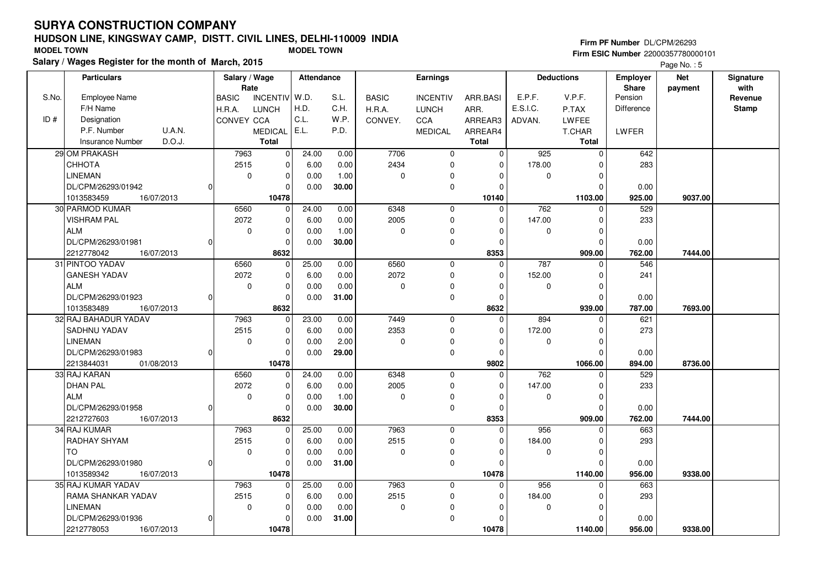# **HUDSON LINE, KINGSWAY CAMP, DISTT. CIVIL LINES, DELHI-110009 INDIASalary / Wages Register for the month of March, 2015 MODEL TOWN MODEL TOWN**

#### **Firm PF Number** DL/CPM/26293

|       | Salary / wages Register for the month of March, 2015 |               |                 |                   |       |              |                 |              |             |                   |                 | Page No.: 5 |              |
|-------|------------------------------------------------------|---------------|-----------------|-------------------|-------|--------------|-----------------|--------------|-------------|-------------------|-----------------|-------------|--------------|
|       | <b>Particulars</b>                                   | Salary / Wage |                 | <b>Attendance</b> |       |              | Earnings        |              |             | <b>Deductions</b> | <b>Employer</b> | <b>Net</b>  | Signature    |
|       |                                                      | Rate          |                 |                   |       |              |                 |              |             |                   | <b>Share</b>    | payment     | with         |
| S.No. | <b>Employee Name</b>                                 | <b>BASIC</b>  | <b>INCENTIV</b> | W.D.              | S.L.  | <b>BASIC</b> | <b>INCENTIV</b> | ARR.BASI     | E.P.F.      | V.P.F.            | Pension         |             | Revenue      |
|       | F/H Name                                             | H.R.A.        | <b>LUNCH</b>    | H.D.              | C.H.  | H.R.A.       | <b>LUNCH</b>    | ARR.         | E.S.I.C.    | P.TAX             | Difference      |             | <b>Stamp</b> |
| ID#   | Designation                                          | CONVEY CCA    |                 | C.L.              | W.P.  | CONVEY.      | CCA             | ARREAR3      | ADVAN.      | <b>LWFEE</b>      |                 |             |              |
|       | U.A.N.<br>P.F. Number                                |               | <b>MEDICAL</b>  | E.L.              | P.D.  |              | <b>MEDICAL</b>  | ARREAR4      |             | T.CHAR            | <b>LWFER</b>    |             |              |
|       | D.O.J.<br><b>Insurance Number</b>                    |               | <b>Total</b>    |                   |       |              |                 | <b>Total</b> |             | <b>Total</b>      |                 |             |              |
|       | 29 OM PRAKASH                                        | 7963          | $\overline{0}$  | 24.00             | 0.00  | 7706         | $\mathbf 0$     | $\Omega$     | 925         | $\pmb{0}$         | 642             |             |              |
|       | СННОТА                                               | 2515          | $\mathbf{0}$    | 6.00              | 0.00  | 2434         | $\mathbf 0$     | $\Omega$     | 178.00      | $\Omega$          | 283             |             |              |
|       | <b>LINEMAN</b>                                       | $\mathbf 0$   | $\mathbf 0$     | 0.00              | 1.00  | 0            | 0               | $\Omega$     | $\mathbf 0$ | $\mathbf 0$       |                 |             |              |
|       | DL/CPM/26293/01942                                   | 0l            | $\mathbf 0$     | 0.00              | 30.00 |              | $\mathbf 0$     | $\Omega$     |             | $\Omega$          | 0.00            |             |              |
|       | 1013583459<br>16/07/2013                             |               | 10478           |                   |       |              |                 | 10140        |             | 1103.00           | 925.00          | 9037.00     |              |
|       | 30 PARMOD KUMAR                                      | 6560          | $\Omega$        | 24.00             | 0.00  | 6348         | $\mathbf 0$     | $\Omega$     | 762         | $\Omega$          | 529             |             |              |
|       | <b>VISHRAM PAL</b>                                   | 2072          | $\mathbf 0$     | 6.00              | 0.00  | 2005         | 0               | $\Omega$     | 147.00      | $\mathbf 0$       | 233             |             |              |
|       | <b>ALM</b>                                           | $\mathbf 0$   | 0               | 0.00              | 1.00  | $\mathbf 0$  | 0               | 0            | $\mathbf 0$ | $\mathbf 0$       |                 |             |              |
|       | DL/CPM/26293/01981                                   | $\Omega$      | 0               | 0.00              | 30.00 |              | 0               | $\Omega$     |             | $\Omega$          | 0.00            |             |              |
|       | 2212778042<br>16/07/2013                             |               | 8632            |                   |       |              |                 | 8353         |             | 909.00            | 762.00          | 7444.00     |              |
|       | 31 PINTOO YADAV                                      | 6560          | $\overline{0}$  | 25.00             | 0.00  | 6560         | $\mathbf 0$     | $\Omega$     | 787         | $\mathbf 0$       | 546             |             |              |
|       | <b>GANESH YADAV</b>                                  | 2072          | 0               | 6.00              | 0.00  | 2072         | 0               | $\Omega$     | 152.00      | $\mathbf 0$       | 241             |             |              |
|       | <b>ALM</b>                                           | $\mathbf 0$   | $\mathbf 0$     | 0.00              | 0.00  | 0            | 0               | $\Omega$     | $\mathbf 0$ | $\mathbf 0$       |                 |             |              |
|       | DL/CPM/26293/01923                                   | $\Omega$      | 0               | 0.00              | 31.00 |              | 0               | $\Omega$     |             | $\Omega$          | 0.00            |             |              |
|       | 1013583489<br>16/07/2013                             |               | 8632            |                   |       |              |                 | 8632         |             | 939.00            | 787.00          | 7693.00     |              |
|       | 32 RAJ BAHADUR YADAV                                 | 7963          | $\Omega$        | 23.00             | 0.00  | 7449         | $\Omega$        | $\Omega$     | 894         | $\Omega$          | 621             |             |              |
|       | <b>SADHNU YADAV</b>                                  | 2515          | $\Omega$        | 6.00              | 0.00  | 2353         | $\Omega$        | $\Omega$     | 172.00      | $\Omega$          | 273             |             |              |
|       | <b>LINEMAN</b>                                       | $\mathbf 0$   | 0               | 0.00              | 2.00  | $\mathbf 0$  | $\Omega$        | $\Omega$     | $\mathbf 0$ | $\mathbf 0$       |                 |             |              |
|       | DL/CPM/26293/01983                                   | 0             | 0               | 0.00              | 29.00 |              | 0               | $\Omega$     |             | $\Omega$          | 0.00            |             |              |
|       | 2213844031<br>01/08/2013                             |               | 10478           |                   |       |              |                 | 9802         |             | 1066.00           | 894.00          | 8736.00     |              |
|       | 33 RAJ KARAN                                         | 6560          | 0               | 24.00             | 0.00  | 6348         | $\mathbf 0$     | $\Omega$     | 762         | $\Omega$          | 529             |             |              |
|       | <b>DHAN PAL</b>                                      | 2072          | $\overline{0}$  | 6.00              | 0.00  | 2005         | $\mathbf 0$     | $\Omega$     | 147.00      | $\mathbf 0$       | 233             |             |              |
|       | <b>ALM</b>                                           | $\mathbf 0$   | $\mathbf 0$     | 0.00              | 1.00  | 0            | $\mathbf 0$     | $\Omega$     | $\mathbf 0$ | $\Omega$          |                 |             |              |
|       | DL/CPM/26293/01958                                   | 0             | 0               | 0.00              | 30.00 |              | $\pmb{0}$       | $\Omega$     |             | $\Omega$          | 0.00            |             |              |
|       | 2212727603<br>16/07/2013                             |               | 8632            |                   |       |              |                 | 8353         |             | 909.00            | 762.00          | 7444.00     |              |
|       | 34 RAJ KUMAR                                         | 7963          | $\overline{0}$  | 25.00             | 0.00  | 7963         | $\mathbf 0$     | $\Omega$     | 956         | 0                 | 663             |             |              |
|       | <b>RADHAY SHYAM</b>                                  | 2515          | $\mathbf 0$     | 6.00              | 0.00  | 2515         | $\mathbf 0$     | $\Omega$     | 184.00      | $\mathbf 0$       | 293             |             |              |
|       | <b>TO</b>                                            | $\mathbf 0$   | $\mathbf 0$     | 0.00              | 0.00  | $\Omega$     | 0               | $\Omega$     | $\mathbf 0$ | $\Omega$          |                 |             |              |
|       | DL/CPM/26293/01980                                   | 0             | $\Omega$        | 0.00              | 31.00 |              | $\pmb{0}$       | $\Omega$     |             | $\Omega$          | 0.00            |             |              |
|       | 1013589342<br>16/07/2013                             |               | 10478           |                   |       |              |                 | 10478        |             | 1140.00           | 956.00          | 9338.00     |              |
|       | 35 RAJ KUMAR YADAV                                   | 7963          | 0               | 25.00             | 0.00  | 7963         | $\mathbf 0$     | $\Omega$     | 956         | O                 | 663             |             |              |
|       | RAMA SHANKAR YADAV                                   | 2515          | 0               | 6.00              | 0.00  | 2515         | $\mathbf 0$     | $\Omega$     | 184.00      | $\mathbf 0$       | 293             |             |              |
|       | <b>LINEMAN</b>                                       | $\mathbf 0$   | $\mathbf 0$     | 0.00              | 0.00  | $\Omega$     | $\Omega$        | $\Omega$     | $\mathbf 0$ | $\Omega$          |                 |             |              |
|       | DL/CPM/26293/01936                                   | 0l            | 0               | 0.00              | 31.00 |              | $\mathbf 0$     |              |             | $\Omega$          | 0.00            |             |              |
|       | 2212778053<br>16/07/2013                             |               | 10478           |                   |       |              |                 | 10478        |             | 1140.00           | 956.00          | 9338.00     |              |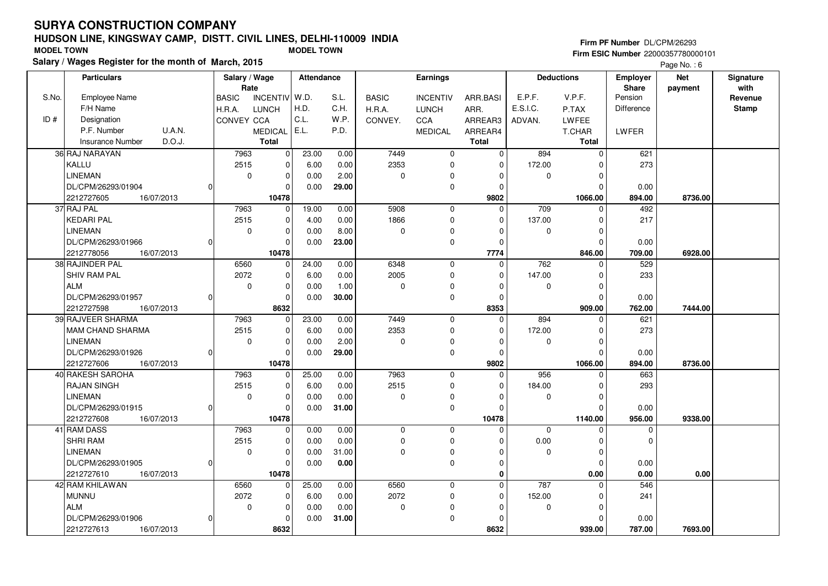# **HUDSON LINE, KINGSWAY CAMP, DISTT. CIVIL LINES, DELHI-110009 INDIASalary / Wages Register for the month of March, 2015 MODEL TOWN MODEL TOWN**

#### **Firm PF Number** DL/CPM/26293

|       | Salary / wages Register for the month of March, 2015 |                               |                   |              |                 |              |             |                   |                   | Page No.: 6 |              |
|-------|------------------------------------------------------|-------------------------------|-------------------|--------------|-----------------|--------------|-------------|-------------------|-------------------|-------------|--------------|
|       | <b>Particulars</b>                                   | Salary / Wage                 | <b>Attendance</b> |              | <b>Earnings</b> |              |             | <b>Deductions</b> | <b>Employer</b>   | <b>Net</b>  | Signature    |
|       |                                                      | Rate                          |                   |              |                 |              |             |                   | <b>Share</b>      | payment     | with         |
| S.No. | <b>Employee Name</b>                                 | INCENTIV W.D.<br><b>BASIC</b> | S.L.              | <b>BASIC</b> | <b>INCENTIV</b> | ARR.BASI     | E.P.F.      | V.P.F.            | Pension           |             | Revenue      |
|       | F/H Name                                             | <b>LUNCH</b><br>H.R.A.        | H.D.<br>C.H.      | H.R.A.       | <b>LUNCH</b>    | ARR.         | E.S.I.C.    | P.TAX             | <b>Difference</b> |             | <b>Stamp</b> |
| ID#   | Designation                                          | CONVEY CCA                    | C.L.<br>W.P.      | CONVEY.      | <b>CCA</b>      | ARREAR3      | ADVAN.      | <b>LWFEE</b>      |                   |             |              |
|       | <b>U.A.N.</b><br>P.F. Number                         | <b>MEDICAL</b>                | E.L.<br>P.D.      |              | <b>MEDICAL</b>  | ARREAR4      |             | T.CHAR            | LWFER             |             |              |
|       | D.O.J.<br><b>Insurance Number</b>                    | <b>Total</b>                  |                   |              |                 | <b>Total</b> |             | <b>Total</b>      |                   |             |              |
|       | 36 RAJ NARAYAN                                       | 7963<br>0                     | 23.00<br>0.00     | 7449         | $\mathbf 0$     | $\Omega$     | 894         | $\mathbf 0$       | 621               |             |              |
|       | KALLU                                                | 2515<br>$\Omega$              | 6.00<br>0.00      | 2353         | $\mathbf 0$     | $\Omega$     | 172.00      | $\Omega$          | 273               |             |              |
|       | <b>LINEMAN</b>                                       | 0<br>$\mathbf 0$              | 0.00<br>2.00      | 0            | $\Omega$        | $\Omega$     | $\mathbf 0$ | $\mathbf 0$       |                   |             |              |
|       | DL/CPM/26293/01904                                   | $\Omega$                      | 0.00<br>29.00     |              | $\mathbf 0$     | $\Omega$     |             | $\mathbf 0$       | 0.00              |             |              |
|       | 2212727605<br>16/07/2013                             | 10478                         |                   |              |                 | 9802         |             | 1066.00           | 894.00            | 8736.00     |              |
|       | 37 RAJ PAL                                           | 7963<br>$\Omega$              | 19.00<br>0.00     | 5908         | $\mathbf 0$     | $\Omega$     | 709         | $\Omega$          | 492               |             |              |
|       | <b>KEDARI PAL</b>                                    | 2515<br>$\mathbf 0$           | 4.00<br>0.00      | 1866         | $\mathbf 0$     | 0            | 137.00      | $\mathbf 0$       | 217               |             |              |
|       | <b>LINEMAN</b>                                       | 0<br>$\Omega$                 | 8.00<br>0.00      | 0            | $\Omega$        | $\Omega$     | 0           | $\Omega$          |                   |             |              |
|       | DL/CPM/26293/01966                                   | $\Omega$                      | 23.00<br>0.00     |              | $\mathbf 0$     | $\Omega$     |             | $\mathbf 0$       | 0.00              |             |              |
|       | 2212778056<br>16/07/2013                             | 10478                         |                   |              |                 | 7774         |             | 846.00            | 709.00            | 6928.00     |              |
|       | 38 RAJINDER PAL                                      | 6560<br>$\Omega$              | 24.00<br>0.00     | 6348         | $\mathbf 0$     | $\mathbf 0$  | 762         | 0                 | 529               |             |              |
|       | SHIV RAM PAL                                         | 2072<br>$\Omega$              | 0.00<br>6.00      | 2005         | $\mathbf 0$     | $\Omega$     | 147.00      | $\Omega$          | 233               |             |              |
|       | <b>ALM</b>                                           | 0<br>$\Omega$                 | 1.00<br>0.00      | 0            | $\mathbf 0$     | $\Omega$     | $\mathbf 0$ | $\mathbf 0$       |                   |             |              |
|       | DL/CPM/26293/01957                                   | $\mathbf 0$                   | 0.00<br>30.00     |              | 0               | $\Omega$     |             | $\Omega$          | 0.00              |             |              |
|       | 2212727598<br>16/07/2013                             | 8632                          |                   |              |                 | 8353         |             | 909.00            | 762.00            | 7444.00     |              |
|       | 39 RAJVEER SHARMA                                    | 7963<br>0                     | 23.00<br>0.00     | 7449         | $\mathbf 0$     | $\Omega$     | 894         | $\Omega$          | 621               |             |              |
|       | MAM CHAND SHARMA                                     | 2515<br>$\Omega$              | 0.00<br>6.00      | 2353         | $\mathbf 0$     | $\Omega$     | 172.00      | $\Omega$          | 273               |             |              |
|       | <b>LINEMAN</b>                                       | $\mathbf 0$<br>$\mathbf 0$    | 0.00<br>2.00      | 0            | 0               | $\Omega$     | 0           | $\mathbf 0$       |                   |             |              |
|       | DL/CPM/26293/01926<br>$\Omega$                       | $\Omega$                      | 29.00<br>0.00     |              | $\mathbf 0$     | $\Omega$     |             | $\Omega$          | 0.00              |             |              |
|       | 2212727606<br>16/07/2013                             | 10478                         |                   |              |                 | 9802         |             | 1066.00           | 894.00            | 8736.00     |              |
|       | 40 RAKESH SAROHA                                     | 7963<br>$\Omega$              | 25.00<br>0.00     | 7963         | $\mathbf 0$     | $\Omega$     | 956         | $\Omega$          | 663               |             |              |
|       | <b>RAJAN SINGH</b>                                   | 2515<br>$\mathbf 0$           | 6.00<br>0.00      | 2515         | $\mathbf 0$     | $\mathbf 0$  | 184.00      | $\mathbf 0$       | 293               |             |              |
|       | <b>LINEMAN</b>                                       | 0<br>$\mathbf 0$              | 0.00<br>0.00      | 0            | 0               | $\Omega$     | 0           | 0                 |                   |             |              |
|       | DL/CPM/26293/01915                                   | $\Omega$                      | 0.00<br>31.00     |              | $\mathbf 0$     | 0            |             | $\Omega$          | 0.00              |             |              |
|       | 2212727608<br>16/07/2013                             | 10478                         |                   |              |                 | 10478        |             | 1140.00           | 956.00            | 9338.00     |              |
|       | 41 RAM DASS                                          | 7963<br>0                     | 0.00<br>0.00      | 0            | 0               | $\Omega$     | $\mathbf 0$ | 0                 | 0                 |             |              |
|       | <b>SHRI RAM</b>                                      | 2515<br>$\mathbf 0$           | 0.00<br>0.00      | 0            | $\mathbf 0$     | ŋ            | 0.00        | $\mathbf 0$       | $\Omega$          |             |              |
|       | <b>LINEMAN</b>                                       | $\Omega$<br>$\mathbf 0$       | 31.00<br>0.00     | 0            | $\mathbf 0$     | 0            | 0           | $\mathbf 0$       |                   |             |              |
|       | DL/CPM/26293/01905                                   | $\Omega$                      | 0.00<br>0.00      |              | $\mathbf 0$     | $\Omega$     |             | $\Omega$          | 0.00              |             |              |
|       | 2212727610<br>16/07/2013                             | 10478                         |                   |              |                 | $\bf{0}$     |             | 0.00              | 0.00              | 0.00        |              |
|       | 42 RAM KHILAWAN                                      | 6560<br>0                     | 25.00<br>0.00     | 6560         | $\mathbf 0$     | $\Omega$     | 787         | $\Omega$          | 546               |             |              |
|       | <b>MUNNU</b>                                         | 2072<br>$\Omega$              | 0.00<br>6.00      | 2072         | $\mathbf 0$     | 0            | 152.00      | 0                 | 241               |             |              |
|       | <b>ALM</b>                                           | $\mathbf 0$<br>$\mathbf 0$    | 0.00<br>0.00      | 0            | $\Omega$        | $\Omega$     | 0           | 0                 |                   |             |              |
|       | DL/CPM/26293/01906<br>ŋ                              | $\Omega$                      | 0.00<br>31.00     |              | $\mathbf 0$     | $\Omega$     |             | $\Omega$          | 0.00              |             |              |
|       | 2212727613<br>16/07/2013                             | 8632                          |                   |              |                 | 8632         |             | 939.00            | 787.00            | 7693.00     |              |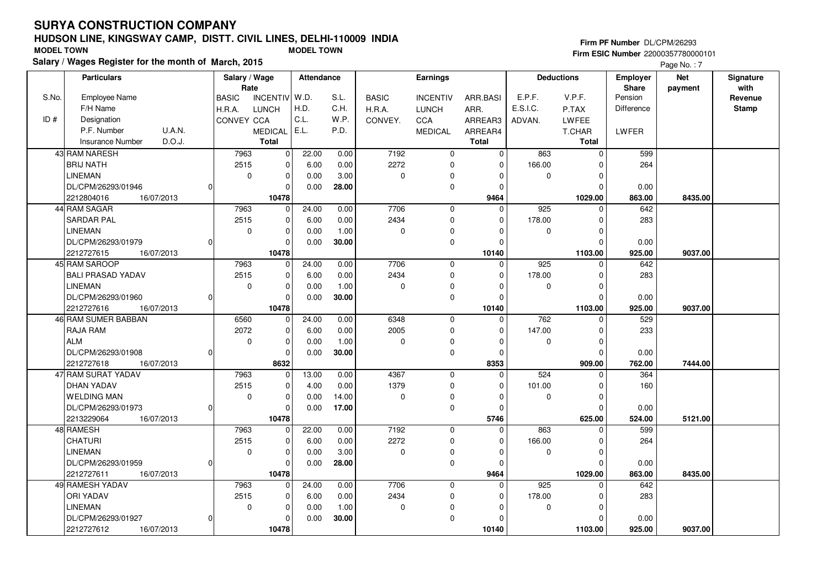# **HUDSON LINE, KINGSWAY CAMP, DISTT. CIVIL LINES, DELHI-110009 INDIASalary / Wages Register for the month of March, 2015 MODEL TOWN MODEL TOWN**

#### **Firm PF Number** DL/CPM/26293 **Firm ESIC Number** 22000357780000101

Page No.: 7

|       | <b>Particulars</b>                | Salary / Wage |                 | Attendance |       |              | Earnings        |              |             | <b>Deductions</b> | Employer          | <b>Net</b> | Signature |
|-------|-----------------------------------|---------------|-----------------|------------|-------|--------------|-----------------|--------------|-------------|-------------------|-------------------|------------|-----------|
|       | Employee Name                     | Rate          |                 |            | S.L.  |              |                 |              |             | V.P.F.            | Share<br>Pension  | payment    | with      |
| S.No. | F/H Name                          | <b>BASIC</b>  | <b>INCENTIV</b> | W.D.       |       | <b>BASIC</b> | <b>INCENTIV</b> | ARR.BASI     | E.P.F.      |                   |                   |            | Revenue   |
|       |                                   | H.R.A.        | <b>LUNCH</b>    | H.D.       | C.H.  | H.R.A.       | <b>LUNCH</b>    | ARR.         | E.S.I.C.    | P.TAX             | <b>Difference</b> |            | Stamp     |
| ID#   | Designation                       | CONVEY CCA    |                 | C.L.       | W.P.  | CONVEY.      | CCA             | ARREAR3      | ADVAN.      | LWFEE             |                   |            |           |
|       | U.A.N.<br>P.F. Number             |               | MEDICAL E.L.    |            | P.D.  |              | <b>MEDICAL</b>  | ARREAR4      |             | T.CHAR            | LWFER             |            |           |
|       | D.O.J.<br><b>Insurance Number</b> |               | <b>Total</b>    |            |       |              |                 | <b>Total</b> |             | <b>Total</b>      |                   |            |           |
|       | 43 RAM NARESH                     | 7963          | 0               | 22.00      | 0.00  | 7192         | $\mathbf 0$     | $\Omega$     | 863         | $\Omega$          | 599               |            |           |
|       | <b>BRIJ NATH</b>                  | 2515          | $\Omega$        | 6.00       | 0.00  | 2272         | $\mathbf 0$     | $\mathbf 0$  | 166.00      | O                 | 264               |            |           |
|       | <b>LINEMAN</b>                    | $\mathbf 0$   | $\pmb{0}$       | 0.00       | 3.00  | $\pmb{0}$    | 0               | 0            | 0           | $\Omega$          |                   |            |           |
|       | DL/CPM/26293/01946                |               | $\Omega$        | 0.00       | 28.00 |              | $\mathbf 0$     | $\Omega$     |             |                   | 0.00              |            |           |
|       | 2212804016<br>16/07/2013          |               | 10478           |            |       |              |                 | 9464         |             | 1029.00           | 863.00            | 8435.00    |           |
|       | 44 RAM SAGAR                      | 7963          | $\Omega$        | 24.00      | 0.00  | 7706         | $\mathbf{0}$    | $\Omega$     | 925         | $\Omega$          | 642               |            |           |
|       | SARDAR PAL                        | 2515          | $\pmb{0}$       | 6.00       | 0.00  | 2434         | 0               | 0            | 178.00      | O                 | 283               |            |           |
|       | <b>LINEMAN</b>                    | $\mathbf 0$   | $\mathbf 0$     | 0.00       | 1.00  | 0            | $\Omega$        | $\Omega$     | $\mathbf 0$ | $\Omega$          |                   |            |           |
|       | DL/CPM/26293/01979                |               | $\Omega$        | 0.00       | 30.00 |              | $\mathbf 0$     | $\Omega$     |             | $\Omega$          | 0.00              |            |           |
|       | 2212727615<br>16/07/2013          |               | 10478           |            |       |              |                 | 10140        |             | 1103.00           | 925.00            | 9037.00    |           |
|       | 45 RAM SAROOP                     | 7963          | $\Omega$        | 24.00      | 0.00  | 7706         | $\mathbf 0$     | $\Omega$     | 925         | n                 | 642               |            |           |
|       | <b>BALI PRASAD YADAV</b>          | 2515          | $\mathbf 0$     | 6.00       | 0.00  | 2434         | 0               | $\mathbf 0$  | 178.00      | $\Omega$          | 283               |            |           |
|       | <b>LINEMAN</b>                    | $\mathbf 0$   | $\mathbf 0$     | 0.00       | 1.00  | 0            | 0               | $\Omega$     | 0           | $\Omega$          |                   |            |           |
|       | DL/CPM/26293/01960                |               | $\Omega$        | 0.00       | 30.00 |              | $\mathbf 0$     | $\Omega$     |             | O                 | 0.00              |            |           |
|       | 2212727616<br>16/07/2013          |               | 10478           |            |       |              |                 | 10140        |             | 1103.00           | 925.00            | 9037.00    |           |
|       | 46 RAM SUMER BABBAN               | 6560          | 0               | 24.00      | 0.00  | 6348         | $\mathbf 0$     | 0            | 762         | $\Omega$          | 529               |            |           |
|       | RAJA RAM                          | 2072          | $\mathbf 0$     | 6.00       | 0.00  | 2005         | 0               | $\Omega$     | 147.00      | O                 | 233               |            |           |
|       | <b>ALM</b>                        | $\mathbf 0$   | $\mathbf 0$     | 0.00       | 1.00  | 0            | 0               | $\Omega$     | 0           | O                 |                   |            |           |
|       | DL/CPM/26293/01908                |               | $\Omega$        | 0.00       | 30.00 |              | $\mathbf 0$     | $\Omega$     |             | $\Omega$          | 0.00              |            |           |
|       | 2212727618<br>16/07/2013          |               | 8632            |            |       |              |                 | 8353         |             | 909.00            | 762.00            | 7444.00    |           |
|       | 47 RAM SURAT YADAV                | 7963          | $\mathbf 0$     | 13.00      | 0.00  | 4367         | $\mathbf 0$     | $\mathbf 0$  | 524         |                   | 364               |            |           |
|       | <b>DHAN YADAV</b>                 | 2515          | $\mathbf 0$     | 4.00       | 0.00  | 1379         | $\mathbf 0$     | $\Omega$     | 101.00      | $\Omega$          | 160               |            |           |
|       | <b>WELDING MAN</b>                | 0             | $\mathbf 0$     | 0.00       | 14.00 | 0            | $\mathbf 0$     | $\Omega$     | $\mathbf 0$ | $\Omega$          |                   |            |           |
|       | DL/CPM/26293/01973                |               | $\mathbf 0$     | 0.00       | 17.00 |              | $\mathbf 0$     | $\Omega$     |             | O                 | 0.00              |            |           |
|       | 2213229064<br>16/07/2013          |               | 10478           |            |       |              |                 | 5746         |             | 625.00            | 524.00            | 5121.00    |           |
|       | 48 RAMESH                         | 7963          | $\Omega$        | 22.00      | 0.00  | 7192         | $\mathbf 0$     | $\Omega$     | 863         | $\Omega$          | 599               |            |           |
|       | <b>CHATURI</b>                    | 2515          | $\mathbf 0$     | 6.00       | 0.00  | 2272         | $\mathbf 0$     | $\Omega$     | 166.00      | $\Omega$          | 264               |            |           |
|       | <b>LINEMAN</b>                    | $\mathbf 0$   | $\mathbf 0$     | 0.00       | 3.00  | 0            | 0               | $\Omega$     | 0           | n                 |                   |            |           |
|       | DL/CPM/26293/01959                | ŋ             | $\Omega$        | 0.00       | 28.00 |              | $\mathbf 0$     | $\Omega$     |             | n                 | 0.00              |            |           |
|       | 2212727611<br>16/07/2013          |               | 10478           |            |       |              |                 | 9464         |             | 1029.00           | 863.00            | 8435.00    |           |
|       | 49 RAMESH YADAV                   | 7963          | $\mathbf 0$     | 24.00      | 0.00  | 7706         | $\mathbf{0}$    | $\mathbf 0$  | 925         | $\Omega$          | 642               |            |           |
|       | ORI YADAV                         | 2515          | $\Omega$        | 6.00       | 0.00  | 2434         | 0               | $\Omega$     | 178.00      | ŋ                 | 283               |            |           |
|       | <b>LINEMAN</b>                    | $\mathbf 0$   | $\mathbf 0$     | 0.00       | 1.00  | 0            | 0               | $\Omega$     | 0           | $\Omega$          |                   |            |           |
|       | DL/CPM/26293/01927                |               | $\Omega$        | 0.00       | 30.00 |              | $\mathbf 0$     | $\Omega$     |             |                   | 0.00              |            |           |
|       |                                   |               | 10478           |            |       |              |                 |              |             |                   |                   |            |           |
|       | 2212727612<br>16/07/2013          |               |                 |            |       |              |                 | 10140        |             | 1103.00           | 925.00            | 9037.00    |           |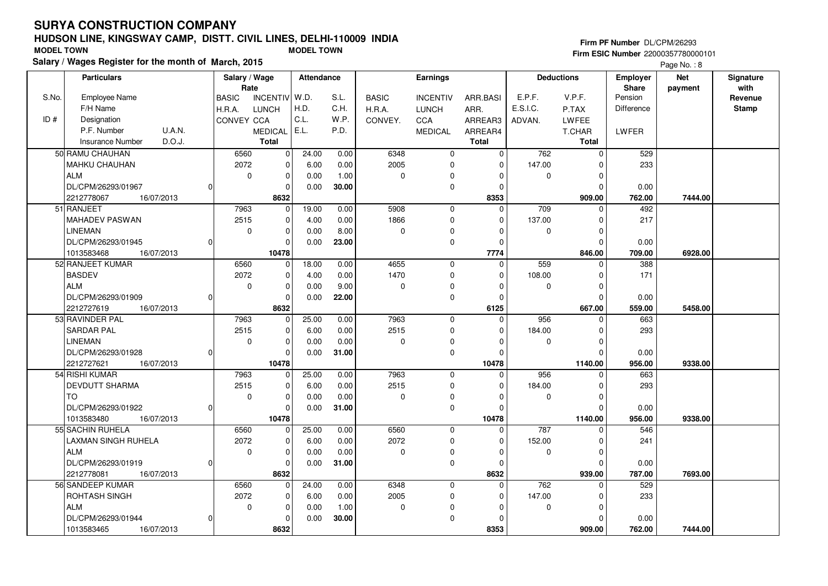# **HUDSON LINE, KINGSWAY CAMP, DISTT. CIVIL LINES, DELHI-110009 INDIASalary / Wages Register for the month of March, 2015 MODEL TOWN MODEL TOWN**

#### **Firm PF Number** DL/CPM/26293

 **Firm ESIC Number** 22000357780000101Page No.: 8

|       | <b>Particulars</b>                |          | Salary / Wage |                 | Attendance |       |              | <b>Earnings</b> |              |             | <b>Deductions</b> | <b>Employer</b>   | <b>Net</b> | Signature    |
|-------|-----------------------------------|----------|---------------|-----------------|------------|-------|--------------|-----------------|--------------|-------------|-------------------|-------------------|------------|--------------|
|       |                                   |          | Rate          |                 |            |       |              |                 |              |             |                   | <b>Share</b>      | payment    | with         |
| S.No. | Employee Name                     |          | <b>BASIC</b>  | <b>INCENTIV</b> | W.D.       | S.L.  | <b>BASIC</b> | <b>INCENTIV</b> | ARR.BASI     | E.P.F.      | V.P.F.            | Pension           |            | Revenue      |
|       | F/H Name                          |          | H.R.A.        | <b>LUNCH</b>    | H.D.       | C.H.  | H.R.A.       | <b>LUNCH</b>    | ARR.         | E.S.I.C.    | P.TAX             | <b>Difference</b> |            | <b>Stamp</b> |
| ID#   | Designation                       |          | CONVEY CCA    |                 | C.L.       | W.P.  | CONVEY.      | <b>CCA</b>      | ARREAR3      | ADVAN.      | <b>LWFEE</b>      |                   |            |              |
|       | U.A.N.<br>P.F. Number             |          |               | <b>MEDICAL</b>  | E.L.       | P.D.  |              | <b>MEDICAL</b>  | ARREAR4      |             | T.CHAR            | LWFER             |            |              |
|       | D.O.J.<br><b>Insurance Number</b> |          |               | <b>Total</b>    |            |       |              |                 | <b>Total</b> |             | <b>Total</b>      |                   |            |              |
|       | 50 RAMU CHAUHAN                   |          | 6560          | $\mathbf 0$     | 24.00      | 0.00  | 6348         | $\mathbf 0$     | $\Omega$     | 762         | $\mathbf 0$       | 529               |            |              |
|       | MAHKU CHAUHAN                     |          | 2072          | $\mathbf{0}$    | 6.00       | 0.00  | 2005         | $\mathbf 0$     | $\mathbf 0$  | 147.00      | $\Omega$          | 233               |            |              |
|       | <b>ALM</b>                        |          | $\mathbf 0$   | $\mathbf{0}$    | 0.00       | 1.00  | $\mathbf 0$  | 0               | $\Omega$     | $\mathbf 0$ | $\Omega$          |                   |            |              |
|       | DL/CPM/26293/01967                | $\Omega$ |               | 0               | 0.00       | 30.00 |              | $\mathbf 0$     | $\Omega$     |             | $\Omega$          | 0.00              |            |              |
|       | 2212778067<br>16/07/2013          |          |               | 8632            |            |       |              |                 | 8353         |             | 909.00            | 762.00            | 7444.00    |              |
|       | 51 RANJEET                        |          | 7963          | 0               | 19.00      | 0.00  | 5908         | $\Omega$        | $\Omega$     | 709         | $\Omega$          | 492               |            |              |
|       | <b>MAHADEV PASWAN</b>             |          | 2515          | $\mathbf 0$     | 4.00       | 0.00  | 1866         | $\mathbf 0$     | $\Omega$     | 137.00      | $\Omega$          | 217               |            |              |
|       | <b>LINEMAN</b>                    |          | $\mathbf 0$   | 0               | 0.00       | 8.00  | 0            | $\Omega$        | 0            | 0           | 0                 |                   |            |              |
|       | DL/CPM/26293/01945                | $\Omega$ |               | $\Omega$        | 0.00       | 23.00 |              | $\mathbf 0$     | $\Omega$     |             | $\Omega$          | 0.00              |            |              |
|       | 1013583468<br>16/07/2013          |          |               | 10478           |            |       |              |                 | 7774         |             | 846.00            | 709.00            | 6928.00    |              |
|       | 52 RANJEET KUMAR                  |          | 6560          | $\mathbf 0$     | 18.00      | 0.00  | 4655         | $\mathbf 0$     | $\Omega$     | 559         | $\Omega$          | 388               |            |              |
|       | <b>BASDEV</b>                     |          | 2072          | $\mathbf 0$     | 4.00       | 0.00  | 1470         | $\mathbf 0$     | $\Omega$     | 108.00      | $\Omega$          | 171               |            |              |
|       | ALM                               |          | $\mathbf 0$   | 0               | 0.00       | 9.00  | 0            | $\Omega$        | $\Omega$     | $\mathbf 0$ | $\Omega$          |                   |            |              |
|       | DL/CPM/26293/01909                | $\Omega$ |               | 0               | 0.00       | 22.00 |              | $\mathbf 0$     | $\mathbf 0$  |             | $\Omega$          | 0.00              |            |              |
|       | 2212727619<br>16/07/2013          |          |               | 8632            |            |       |              |                 | 6125         |             | 667.00            | 559.00            | 5458.00    |              |
|       | 53 RAVINDER PAL                   |          | 7963          | $\overline{0}$  | 25.00      | 0.00  | 7963         | $\mathbf 0$     | $\Omega$     | 956         | $\Omega$          | 663               |            |              |
|       | <b>SARDAR PAL</b>                 |          | 2515          | 0               | 6.00       | 0.00  | 2515         | $\mathbf 0$     | 0            | 184.00      | $\Omega$          | 293               |            |              |
|       | <b>LINEMAN</b>                    |          | $\mathbf 0$   | 0               | 0.00       | 0.00  | 0            | $\Omega$        | $\Omega$     | 0           | $\Omega$          |                   |            |              |
|       | DL/CPM/26293/01928                | $\Omega$ |               | 0               | 0.00       | 31.00 |              | $\mathbf 0$     | $\Omega$     |             | $\Omega$          | 0.00              |            |              |
|       | 2212727621<br>16/07/2013          |          |               | 10478           |            |       |              |                 | 10478        |             | 1140.00           | 956.00            | 9338.00    |              |
|       | 54 RISHI KUMAR                    |          | 7963          | 0               | 25.00      | 0.00  | 7963         | $\mathbf 0$     | $\Omega$     | 956         | $\Omega$          | 663               |            |              |
|       | <b>DEVDUTT SHARMA</b>             |          | 2515          | 0               | 6.00       | 0.00  | 2515         | 0               | $\Omega$     | 184.00      | $\Omega$          | 293               |            |              |
|       | <b>TO</b>                         |          | $\mathbf 0$   | 0               | 0.00       | 0.00  | $\Omega$     | 0               | $\Omega$     | $\mathbf 0$ | $\Omega$          |                   |            |              |
|       | DL/CPM/26293/01922                | $\Omega$ |               | 0               | 0.00       | 31.00 |              | $\mathbf 0$     | $\Omega$     |             | $\Omega$          | 0.00              |            |              |
|       | 1013583480<br>16/07/2013          |          |               | 10478           |            |       |              |                 | 10478        |             | 1140.00           | 956.00            | 9338.00    |              |
|       | 55 SACHIN RUHELA                  |          | 6560          | 0               | 25.00      | 0.00  | 6560         | $\mathbf 0$     | $\Omega$     | 787         | $\Omega$          | 546               |            |              |
|       | LAXMAN SINGH RUHELA               |          | 2072          | $\mathbf 0$     | 6.00       | 0.00  | 2072         | $\mathbf 0$     | $\Omega$     | 152.00      | $\Omega$          | 241               |            |              |
|       | <b>ALM</b>                        |          | $\mathbf 0$   | $\mathbf 0$     | 0.00       | 0.00  | $\mathbf 0$  | $\mathbf 0$     | $\Omega$     | $\mathbf 0$ | $\Omega$          |                   |            |              |
|       | DL/CPM/26293/01919                | $\Omega$ |               | $\mathbf 0$     | 0.00       | 31.00 |              | $\mathbf 0$     | $\Omega$     |             | $\Omega$          | 0.00              |            |              |
|       | 2212778081<br>16/07/2013          |          |               | 8632            |            |       |              |                 | 8632         |             | 939.00            | 787.00            | 7693.00    |              |
|       | 56 SANDEEP KUMAR                  |          | 6560          | $\mathbf{0}$    | 24.00      | 0.00  | 6348         | $\mathbf 0$     | $\Omega$     | 762         | $\Omega$          | 529               |            |              |
|       | ROHTASH SINGH                     |          | 2072          | 0               | 6.00       | 0.00  | 2005         | $\mathbf 0$     | $\Omega$     | 147.00      | $\Omega$          | 233               |            |              |
|       | <b>ALM</b>                        |          | $\mathbf 0$   | 0               | 0.00       | 1.00  | 0            | O               | $\Omega$     | $\Omega$    | $\Omega$          |                   |            |              |
|       | DL/CPM/26293/01944                | $\Omega$ |               | 0               | 0.00       | 30.00 |              | $\Omega$        | $\Omega$     |             | $\Omega$          | 0.00              |            |              |
|       | 1013583465<br>16/07/2013          |          |               | 8632            |            |       |              |                 | 8353         |             | 909.00            | 762.00            | 7444.00    |              |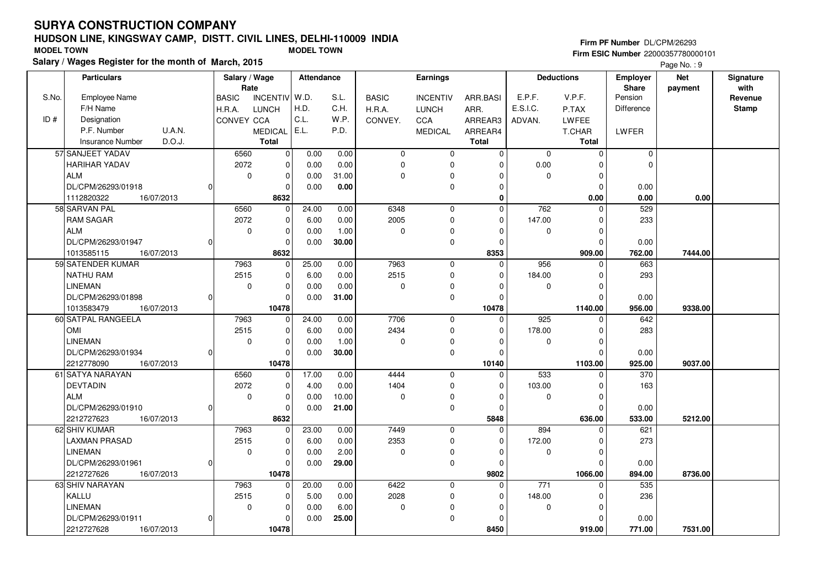# **HUDSON LINE, KINGSWAY CAMP, DISTT. CIVIL LINES, DELHI-110009 INDIASalary / Wages Register for the month of March, 2015 MODEL TOWN MODEL TOWN**

### **Firm PF Number** DL/CPM/26293

|       | Salary / wages Register for the month of March, 2015 |                                 |               |              |                 |              |             |                   |                   | Page No.: 9 |              |
|-------|------------------------------------------------------|---------------------------------|---------------|--------------|-----------------|--------------|-------------|-------------------|-------------------|-------------|--------------|
|       | <b>Particulars</b>                                   | Salary / Wage                   | Attendance    |              | Earnings        |              |             | <b>Deductions</b> | <b>Employer</b>   | <b>Net</b>  | Signature    |
|       |                                                      | Rate                            |               |              |                 |              |             |                   | <b>Share</b>      | payment     | with         |
| S.No. | Employee Name                                        | <b>BASIC</b><br><b>INCENTIV</b> | W.D.<br>S.L.  | <b>BASIC</b> | <b>INCENTIV</b> | ARR.BASI     | E.P.F.      | V.P.F.            | Pension           |             | Revenue      |
|       | F/H Name                                             | H.R.A.<br><b>LUNCH</b>          | H.D.<br>C.H.  | H.R.A.       | <b>LUNCH</b>    | ARR.         | E.S.I.C.    | P.TAX             | <b>Difference</b> |             | <b>Stamp</b> |
| ID#   | Designation                                          | <b>CONVEY CCA</b>               | C.L.<br>W.P.  | CONVEY.      | <b>CCA</b>      | ARREAR3      | ADVAN.      | <b>LWFEE</b>      |                   |             |              |
|       | P.F. Number<br><b>U.A.N.</b>                         | <b>MEDICAL</b>                  | E.L.<br>P.D.  |              | <b>MEDICAL</b>  | ARREAR4      |             | T.CHAR            | LWFER             |             |              |
|       | D.O.J.<br><b>Insurance Number</b>                    | <b>Total</b>                    |               |              |                 | <b>Total</b> |             | <b>Total</b>      |                   |             |              |
|       | 57 SANJEET YADAV                                     | 6560<br>0                       | 0.00<br>0.00  | $\mathbf 0$  | $\mathbf 0$     | $\Omega$     | $\Omega$    | $\mathbf 0$       | 0                 |             |              |
|       | <b>HARIHAR YADAV</b>                                 | 2072<br>$\Omega$                | 0.00<br>0.00  | $\Omega$     | $\Omega$        | O            | 0.00        | $\Omega$          | $\Omega$          |             |              |
|       | <b>ALM</b>                                           | $\mathbf 0$<br>$\mathbf 0$      | 31.00<br>0.00 | 0            | $\Omega$        | O            | $\Omega$    | $\mathbf 0$       |                   |             |              |
|       | DL/CPM/26293/01918                                   | $\mathbf 0$<br>$\Omega$         | 0.00<br>0.00  |              | $\mathbf 0$     | $\Omega$     |             | $\mathbf 0$       | 0.00              |             |              |
|       | 1112820322<br>16/07/2013                             | 8632                            |               |              |                 | $\bf{0}$     |             | 0.00              | 0.00              | 0.00        |              |
|       | 58 SARVAN PAL                                        | 6560<br>$\mathbf 0$             | 24.00<br>0.00 | 6348         | $\mathbf 0$     | $\Omega$     | 762         | $\Omega$          | 529               |             |              |
|       | <b>RAM SAGAR</b>                                     | 2072<br>$\mathbf 0$             | 0.00<br>6.00  | 2005         | $\mathbf 0$     | $\Omega$     | 147.00      | $\mathbf 0$       | 233               |             |              |
|       | <b>ALM</b>                                           | $\mathbf 0$<br>0                | 1.00<br>0.00  | $\mathbf 0$  | $\mathbf 0$     | $\Omega$     | 0           | $\mathbf 0$       |                   |             |              |
|       | DL/CPM/26293/01947                                   | $\Omega$<br>U                   | 30.00<br>0.00 |              | $\mathbf 0$     | $\Omega$     |             | $\mathbf 0$       | 0.00              |             |              |
|       | 16/07/2013<br>1013585115                             | 8632                            |               |              |                 | 8353         |             | 909.00            | 762.00            | 7444.00     |              |
|       | 59 SATENDER KUMAR                                    | 7963<br>0                       | 25.00<br>0.00 | 7963         | $\mathbf 0$     | $\Omega$     | 956         | 0                 | 663               |             |              |
|       | NATHU RAM                                            | 2515<br>$\mathbf 0$             | 6.00<br>0.00  | 2515         | $\mathbf 0$     | $\Omega$     | 184.00      | $\mathbf 0$       | 293               |             |              |
|       | <b>LINEMAN</b>                                       | 0<br>0                          | 0.00<br>0.00  | $\Omega$     | $\mathbf 0$     | $\Omega$     | 0           | $\mathbf 0$       |                   |             |              |
|       | DL/CPM/26293/01898                                   | 0                               | 0.00<br>31.00 |              | 0               | O            |             | $\Omega$          | 0.00              |             |              |
|       | 1013583479<br>16/07/2013                             | 10478                           |               |              |                 | 10478        |             | 1140.00           | 956.00            | 9338.00     |              |
|       | 60 SATPAL RANGEELA                                   | 7963<br>0                       | 24.00<br>0.00 | 7706         | $\mathbf 0$     | $\Omega$     | 925         | $\Omega$          | 642               |             |              |
|       | OMI                                                  | 2515<br>$\Omega$                | 6.00<br>0.00  | 2434         | $\Omega$        | $\Omega$     | 178.00      | $\Omega$          | 283               |             |              |
|       | <b>LINEMAN</b>                                       | $\mathbf 0$<br>0                | 0.00<br>1.00  | $\pmb{0}$    | 0               | 0            | $\mathbf 0$ | $\mathbf 0$       |                   |             |              |
|       | DL/CPM/26293/01934                                   | $\mathbf 0$<br>$\Omega$         | 30.00<br>0.00 |              | $\mathbf 0$     | $\Omega$     |             | $\Omega$          | 0.00              |             |              |
|       | 2212778090<br>16/07/2013                             | 10478                           |               |              |                 | 10140        |             | 1103.00           | 925.00            | 9037.00     |              |
|       | 61 SATYA NARAYAN                                     | 6560<br>$\Omega$                | 17.00<br>0.00 | 4444         | $\mathbf 0$     | $\Omega$     | 533         | $\Omega$          | 370               |             |              |
|       | <b>DEVTADIN</b>                                      | 2072<br>0                       | 4.00<br>0.00  | 1404         | $\mathbf 0$     | $\Omega$     | 103.00      | $\mathbf 0$       | 163               |             |              |
|       | <b>ALM</b>                                           | $\mathbf 0$<br>0                | 10.00<br>0.00 | 0            | 0               | 0            | 0           | 0                 |                   |             |              |
|       | DL/CPM/26293/01910                                   | $\mathbf{0}$<br><sup>0</sup>    | 0.00<br>21.00 |              | $\mathbf 0$     | $\Omega$     |             | $\Omega$          | 0.00              |             |              |
|       | 16/07/2013<br>2212727623                             | 8632                            |               |              |                 | 5848         |             | 636.00            | 533.00            | 5212.00     |              |
|       | 62 SHIV KUMAR                                        | 7963<br>0                       | 23.00<br>0.00 | 7449         | $\mathbf 0$     | $\Omega$     | 894         | 0                 | 621               |             |              |
|       | <b>LAXMAN PRASAD</b>                                 | 2515<br>0                       | 6.00<br>0.00  | 2353         | $\mathbf 0$     | O            | 172.00      | $\mathbf 0$       | 273               |             |              |
|       | <b>LINEMAN</b>                                       | $\mathbf 0$<br>$\mathbf 0$      | 2.00<br>0.00  | $\Omega$     | 0               | 0            | 0           | $\mathbf 0$       |                   |             |              |
|       | DL/CPM/26293/01961                                   | $\mathbf 0$                     | 29.00<br>0.00 |              | $\mathbf 0$     | $\Omega$     |             | $\Omega$          | 0.00              |             |              |
|       | 2212727626<br>16/07/2013                             | 10478                           |               |              |                 | 9802         |             | 1066.00           | 894.00            | 8736.00     |              |
|       | 63 SHIV NARAYAN                                      | 7963<br>0                       | 20.00<br>0.00 | 6422         | $\mathbf 0$     | $\Omega$     | $771$       | $\Omega$          | 535               |             |              |
|       | KALLU                                                | 2515<br>$\mathbf 0$             | 5.00<br>0.00  | 2028         | $\mathbf 0$     | $\Omega$     | 148.00      | 0                 | 236               |             |              |
|       | <b>LINEMAN</b>                                       | $\mathbf 0$<br>$\mathbf 0$      | 0.00<br>6.00  | 0            | 0               | 0            | 0           | 0                 |                   |             |              |
|       | DL/CPM/26293/01911                                   | $\Omega$                        | 0.00<br>25.00 |              | $\mathbf 0$     |              |             | $\Omega$          | 0.00              |             |              |
|       | 2212727628<br>16/07/2013                             | 10478                           |               |              |                 | 8450         |             | 919.00            | 771.00            | 7531.00     |              |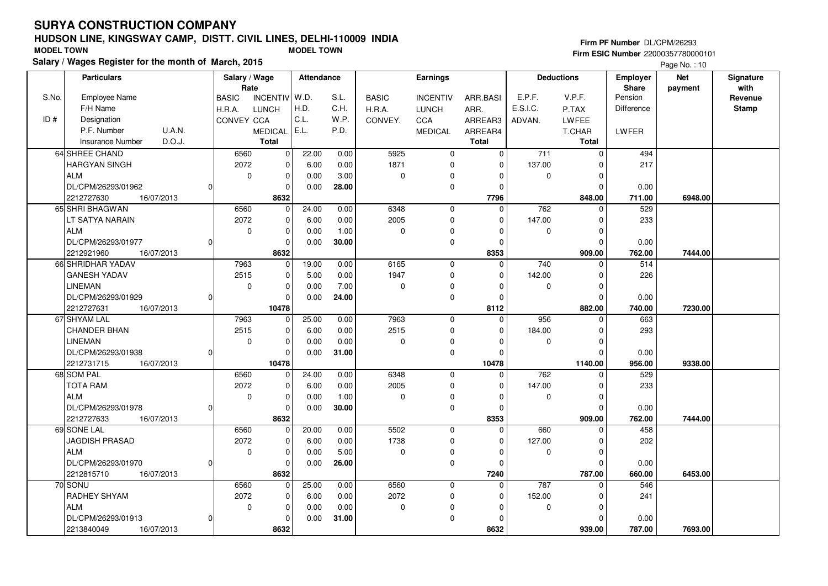# **HUDSON LINE, KINGSWAY CAMP, DISTT. CIVIL LINES, DELHI-110009 INDIASalary / Wages Register for the month of March, 2015 MODEL TOWN MODEL TOWN**

#### **Firm PF Number** DL/CPM/26293

|       | Salary / wages Register for the month of March, 2015 |                                 |                         |                        |                 |              |             |                   |                   | Page No.: 10 |              |
|-------|------------------------------------------------------|---------------------------------|-------------------------|------------------------|-----------------|--------------|-------------|-------------------|-------------------|--------------|--------------|
|       | <b>Particulars</b>                                   | Salary / Wage                   | <b>Attendance</b>       |                        | Earnings        |              |             | <b>Deductions</b> | <b>Employer</b>   | <b>Net</b>   | Signature    |
|       |                                                      | Rate                            |                         |                        |                 |              |             |                   | <b>Share</b>      | payment      | with         |
| S.No. | <b>Employee Name</b>                                 | <b>BASIC</b><br><b>INCENTIV</b> | W.D.<br>S.L.            | <b>BASIC</b>           | <b>INCENTIV</b> | ARR.BASI     | E.P.F.      | V.P.F.            | Pension           |              | Revenue      |
|       | F/H Name                                             | H.R.A.<br><b>LUNCH</b>          | H.D.<br>C.H.            | H.R.A.                 | <b>LUNCH</b>    | ARR.         | E.S.I.C.    | P.TAX             | <b>Difference</b> |              | <b>Stamp</b> |
| ID#   | Designation                                          | CONVEY CCA                      | C.L.<br>W.P.            | CONVEY.                | <b>CCA</b>      | ARREAR3      | ADVAN.      | <b>LWFEE</b>      |                   |              |              |
|       | P.F. Number<br>U.A.N.                                | <b>MEDICAL</b>                  | E.L.<br>P.D.            |                        | <b>MEDICAL</b>  | ARREAR4      |             | T.CHAR            | LWFER             |              |              |
|       | D.O.J.<br><b>Insurance Number</b>                    | <b>Total</b>                    |                         |                        |                 | <b>Total</b> |             | <b>Total</b>      |                   |              |              |
|       | 64 SHREE CHAND                                       | 6560                            | 22.00<br>$\overline{0}$ | 5925<br>0.00           | $\mathbf{0}$    | $\Omega$     | 711         | $\mathbf 0$       | 494               |              |              |
|       | <b>HARGYAN SINGH</b>                                 | 2072                            | $\overline{0}$<br>6.00  | 1871<br>0.00           | $\mathbf 0$     | $\Omega$     | 137.00      | $\Omega$          | 217               |              |              |
|       | <b>ALM</b>                                           | $\mathbf 0$                     | $\overline{0}$<br>0.00  | 3.00<br>$\mathbf 0$    | $\mathbf 0$     | $\Omega$     | $\mathbf 0$ | $\mathbf 0$       |                   |              |              |
|       | DL/CPM/26293/01962                                   | 0l                              | 0.00<br>$\mathbf 0$     | 28.00                  | $\pmb{0}$       | $\Omega$     |             | $\mathbf 0$       | 0.00              |              |              |
|       | 2212727630<br>16/07/2013                             | 8632                            |                         |                        |                 | 7796         |             | 848.00            | 711.00            | 6948.00      |              |
|       | 65 SHRI BHAGWAN                                      | 6560                            | 24.00<br>$\Omega$       | 6348<br>0.00           | $\mathbf 0$     | $\Omega$     | 762         | $\Omega$          | 529               |              |              |
|       | LT SATYA NARAIN                                      | 2072                            | $\overline{0}$<br>6.00  | 2005<br>0.00           | $\mathbf 0$     | $\Omega$     | 147.00      | 0                 | 233               |              |              |
|       | <b>ALM</b>                                           | $\mathbf 0$                     | 0<br>0.00               | 1.00<br>0              | 0               | $\Omega$     | 0           | $\mathbf 0$       |                   |              |              |
|       | DL/CPM/26293/01977                                   | 0                               | 0<br>0.00               | 30.00                  | $\pmb{0}$       | $\Omega$     |             | $\Omega$          | 0.00              |              |              |
|       | 16/07/2013<br>2212921960                             | 8632                            |                         |                        |                 | 8353         |             | 909.00            | 762.00            | 7444.00      |              |
|       | 66 SHRIDHAR YADAV                                    | 7963                            | 19.00<br>0              | 0.00<br>6165           | 0               | $\Omega$     | 740         | $\mathbf 0$       | 514               |              |              |
|       | <b>GANESH YADAV</b>                                  | 2515                            | $\mathbf 0$<br>5.00     | 1947<br>0.00           | $\mathbf 0$     | $\Omega$     | 142.00      | $\Omega$          | 226               |              |              |
|       | <b>LINEMAN</b>                                       | $\mathbf 0$                     | $\mathbf 0$<br>0.00     | 7.00<br>$\overline{0}$ | 0               | $\Omega$     | $\mathbf 0$ | $\Omega$          |                   |              |              |
|       | DL/CPM/26293/01929                                   | $\Omega$                        | 0.00<br>0               | 24.00                  | 0               | $\Omega$     |             | $\Omega$          | 0.00              |              |              |
|       | 2212727631<br>16/07/2013                             | 10478                           |                         |                        |                 | 8112         |             | 882.00            | 740.00            | 7230.00      |              |
|       | 67 SHYAM LAL                                         | 7963                            | 25.00<br>$\overline{0}$ | 7963<br>0.00           | $\mathbf 0$     | $\Omega$     | 956         | $\Omega$          | 663               |              |              |
|       | <b>CHANDER BHAN</b>                                  | 2515                            | 6.00<br>0               | 2515<br>0.00           | $\mathbf 0$     | $\Omega$     | 184.00      | $\Omega$          | 293               |              |              |
|       | <b>LINEMAN</b>                                       | $\mathbf 0$                     | $\mathbf 0$<br>0.00     | 0.00<br>$\mathbf 0$    | $\mathbf 0$     | $\Omega$     | $\mathbf 0$ | $\mathbf 0$       |                   |              |              |
|       | DL/CPM/26293/01938                                   | 0                               | $\mathbf 0$<br>0.00     | 31.00                  | $\pmb{0}$       | $\Omega$     |             | $\Omega$          | 0.00              |              |              |
|       | 2212731715<br>16/07/2013                             | 10478                           |                         |                        |                 | 10478        |             | 1140.00           | 956.00            | 9338.00      |              |
|       | 68 SOM PAL                                           | 6560                            | 24.00<br>0              | 6348<br>0.00           | $\mathbf 0$     | $\Omega$     | 762         | $\Omega$          | 529               |              |              |
|       | <b>TOTA RAM</b>                                      | 2072                            | 0<br>6.00               | 2005<br>0.00           | 0               | 0            | 147.00      | $\mathbf 0$       | 233               |              |              |
|       | <b>ALM</b>                                           | $\mathbf 0$                     | 0<br>0.00               | 1.00<br>0              | 0               | 0            | 0           | $\mathbf 0$       |                   |              |              |
|       | DL/CPM/26293/01978                                   | 0                               | 0<br>0.00               | 30.00                  | 0               | $\Omega$     |             | $\Omega$          | 0.00              |              |              |
|       | 2212727633<br>16/07/2013                             | 8632                            |                         |                        |                 | 8353         |             | 909.00            | 762.00            | 7444.00      |              |
|       | 69 SONE LAL                                          | 6560                            | 20.00<br>0              | 5502<br>0.00           | $\mathbf 0$     | $\Omega$     | 660         | 0                 | 458               |              |              |
|       | JAGDISH PRASAD                                       | 2072                            | 0<br>6.00               | 1738<br>0.00           | 0               | $\Omega$     | 127.00      | $\mathbf 0$       | 202               |              |              |
|       | <b>ALM</b>                                           | $\mathbf 0$                     | $\mathbf 0$<br>0.00     | 5.00<br>$\Omega$       | 0               | $\Omega$     | $\mathbf 0$ | $\Omega$          |                   |              |              |
|       | DL/CPM/26293/01970                                   | 0l                              | $\mathbf 0$<br>0.00     | 26.00                  | $\mathbf 0$     | $\Omega$     |             | $\Omega$          | 0.00              |              |              |
|       | 2212815710<br>16/07/2013                             | 8632                            |                         |                        |                 | 7240         |             | 787.00            | 660.00            | 6453.00      |              |
|       | 70 SONU                                              | 6560                            | 25.00<br>0              | 6560<br>0.00           | $\mathbf 0$     | $\Omega$     | 787         | $\Omega$          | 546               |              |              |
|       | RADHEY SHYAM                                         | 2072                            | 0<br>6.00               | 2072<br>0.00           | $\pmb{0}$       | $\Omega$     | 152.00      | 0                 | 241               |              |              |
|       | <b>ALM</b>                                           | $\mathbf 0$                     | 0<br>0.00               | 0.00<br>0              | $\mathbf 0$     | $\Omega$     | $\mathbf 0$ | 0                 |                   |              |              |
|       | DL/CPM/26293/01913                                   | 0l                              | 0<br>0.00               | 31.00                  | $\mathbf 0$     | $\Omega$     |             | $\Omega$          | 0.00              |              |              |
|       | 2213840049<br>16/07/2013                             | 8632                            |                         |                        |                 | 8632         |             | 939.00            | 787.00            | 7693.00      |              |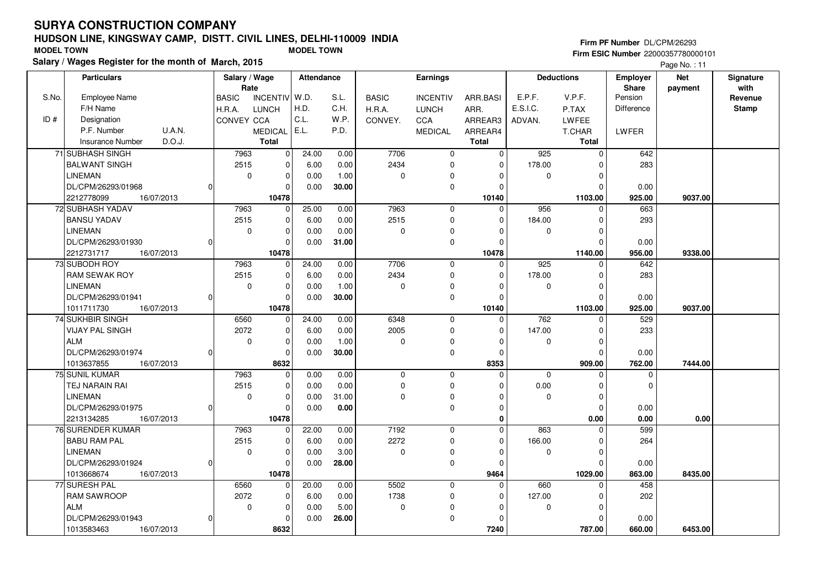# **HUDSON LINE, KINGSWAY CAMP, DISTT. CIVIL LINES, DELHI-110009 INDIASalary / Wages Register for the month of March, 2015 MODEL TOWN MODEL TOWN**

#### **Firm PF Number** DL/CPM/26293

 **Firm ESIC Number** 22000357780000101Page No. : 11

|       | <b>Particulars</b>                | Salary / Wage |               | <b>Attendance</b> |       |              | Earnings        |                |          | <b>Deductions</b> | <b>Employer</b> | <b>Net</b> | Signature    |
|-------|-----------------------------------|---------------|---------------|-------------------|-------|--------------|-----------------|----------------|----------|-------------------|-----------------|------------|--------------|
|       |                                   | Rate          |               |                   |       |              |                 |                |          |                   | Share           | payment    | with         |
| S.No. | <b>Employee Name</b>              | <b>BASIC</b>  | INCENTIV W.D. |                   | S.L.  | <b>BASIC</b> | <b>INCENTIV</b> | ARR.BASI       | E.P.F.   | V.P.F.            | Pension         |            | Revenue      |
|       | F/H Name                          | H.R.A.        | <b>LUNCH</b>  | H.D.              | C.H.  | H.R.A.       | <b>LUNCH</b>    | ARR.           | E.S.I.C. | P.TAX             | Difference      |            | <b>Stamp</b> |
| ID#   | Designation                       | CONVEY CCA    |               | C.L.              | W.P.  | CONVEY.      | <b>CCA</b>      | ARREAR3        | ADVAN.   | <b>LWFEE</b>      |                 |            |              |
|       | U.A.N.<br>P.F. Number             |               | MEDICAL E.L.  |                   | P.D.  |              | <b>MEDICAL</b>  | ARREAR4        |          | <b>T.CHAR</b>     | <b>LWFER</b>    |            |              |
|       | D.O.J.<br><b>Insurance Number</b> |               | <b>Total</b>  |                   |       |              |                 | <b>Total</b>   |          | Total             |                 |            |              |
|       | 71 SUBHASH SINGH                  | 7963          | $\pmb{0}$     | 24.00             | 0.00  | 7706         | $\mathbf 0$     | 0              | 925      | $\mathbf 0$       | 642             |            |              |
|       | <b>BALWANT SINGH</b>              | 2515          | 0             | 6.00              | 0.00  | 2434         | $\mathbf 0$     | 0              | 178.00   | $\Omega$          | 283             |            |              |
|       | <b>LINEMAN</b>                    | $\mathbf 0$   | $\pmb{0}$     | 0.00              | 1.00  | $\mathbf 0$  | 0               | $\Omega$       | 0        | $\Omega$          |                 |            |              |
|       | DL/CPM/26293/01968                | $\Omega$      | $\mathbf 0$   | 0.00              | 30.00 |              | $\mathbf 0$     | $\Omega$       |          | $\Omega$          | 0.00            |            |              |
|       | 2212778099<br>16/07/2013          |               | 10478         |                   |       |              |                 | 10140          |          | 1103.00           | 925.00          | 9037.00    |              |
|       | 72 SUBHASH YADAV                  | 7963          | $\mathbf 0$   | 25.00             | 0.00  | 7963         | $\mathbf 0$     | 0              | 956      | $\Omega$          | 663             |            |              |
|       | <b>BANSU YADAV</b>                | 2515          | 0             | 6.00              | 0.00  | 2515         | $\mathbf 0$     | $\Omega$       | 184.00   | $\Omega$          | 293             |            |              |
|       | <b>LINEMAN</b>                    | $\mathbf 0$   | $\pmb{0}$     | 0.00              | 0.00  | 0            | $\pmb{0}$       | $\Omega$       | 0        | $\mathbf 0$       |                 |            |              |
|       | DL/CPM/26293/01930                | 0             | $\Omega$      | 0.00              | 31.00 |              | $\mathbf 0$     | $\Omega$       |          | $\mathbf 0$       | 0.00            |            |              |
|       | 2212731717<br>16/07/2013          |               | 10478         |                   |       |              |                 | 10478          |          | 1140.00           | 956.00          | 9338.00    |              |
|       | 73 SUBODH ROY                     | 7963          | 0             | 24.00             | 0.00  | 7706         | 0               | $\mathbf 0$    | 925      | $\Omega$          | 642             |            |              |
|       | <b>RAM SEWAK ROY</b>              | 2515          | $\pmb{0}$     | 6.00              | 0.00  | 2434         | 0               | 0              | 178.00   | 0                 | 283             |            |              |
|       | <b>LINEMAN</b>                    | $\mathbf 0$   | $\mathbf 0$   | 0.00              | 1.00  | 0            | 0               | $\Omega$       | 0        | $\mathbf 0$       |                 |            |              |
|       | DL/CPM/26293/01941                | $\Omega$      | $\Omega$      | 0.00              | 30.00 |              | $\mathbf 0$     | $\Omega$       |          | $\Omega$          | 0.00            |            |              |
|       | 1011711730<br>16/07/2013          |               | 10478         |                   |       |              |                 | 10140          |          | 1103.00           | 925.00          | 9037.00    |              |
|       | 74 SUKHBIR SINGH                  | 6560          | $\mathbf 0$   | 24.00             | 0.00  | 6348         | $\mathbf 0$     | $\mathbf 0$    | 762      | $\mathbf 0$       | 529             |            |              |
|       | <b>VIJAY PAL SINGH</b>            | 2072          | $\pmb{0}$     | 6.00              | 0.00  | 2005         | $\pmb{0}$       | $\Omega$       | 147.00   | $\mathbf 0$       | 233             |            |              |
|       | <b>ALM</b>                        | $\mathbf 0$   | $\mathbf 0$   | 0.00              | 1.00  | 0            | $\mathbf 0$     | $\Omega$       | 0        | $\mathbf 0$       |                 |            |              |
|       | DL/CPM/26293/01974                | $\Omega$      | $\mathbf 0$   | 0.00              | 30.00 |              | $\mathbf 0$     | $\Omega$       |          | $\mathbf 0$       | 0.00            |            |              |
|       | 1013637855<br>16/07/2013          |               | 8632          |                   |       |              |                 | 8353           |          | 909.00            | 762.00          | 7444.00    |              |
|       | 75 SUNIL KUMAR                    | 7963          | $\pmb{0}$     | 0.00              | 0.00  | 0            | $\mathbf 0$     | $\overline{0}$ | 0        | $\Omega$          | 0               |            |              |
|       | TEJ NARAIN RAI                    | 2515          | $\mathbf 0$   | 0.00              | 0.00  | 0            | $\mathbf 0$     | $\Omega$       | 0.00     | $\mathbf 0$       | $\Omega$        |            |              |
|       | <b>LINEMAN</b>                    | $\mathbf 0$   | $\mathbf 0$   | 0.00              | 31.00 | $\Omega$     | $\mathbf 0$     | $\Omega$       | $\Omega$ | $\mathbf 0$       |                 |            |              |
|       | DL/CPM/26293/01975                | $\Omega$      | $\mathbf 0$   | 0.00              | 0.00  |              | $\mathbf 0$     | 0              |          | $\mathbf 0$       | 0.00            |            |              |
|       | 2213134285<br>16/07/2013          |               | 10478         |                   |       |              |                 | 0              |          | 0.00              | 0.00            | 0.00       |              |
|       | 76 SURENDER KUMAR                 | 7963          | $\pmb{0}$     | 22.00             | 0.00  | 7192         | $\mathbf 0$     | $\Omega$       | 863      | $\Omega$          | 599             |            |              |
|       | <b>BABU RAM PAL</b>               | 2515          | $\pmb{0}$     | 6.00              | 0.00  | 2272         | $\mathbf 0$     | $\Omega$       | 166.00   | $\Omega$          | 264             |            |              |
|       | <b>LINEMAN</b>                    | $\mathbf 0$   | $\mathbf 0$   | 0.00              | 3.00  | 0            | $\mathbf 0$     | $\Omega$       | 0        | $\mathbf 0$       |                 |            |              |
|       | DL/CPM/26293/01924                | $\Omega$      | $\mathbf 0$   | 0.00              | 28.00 |              | $\mathbf 0$     | 0              |          | $\Omega$          | 0.00            |            |              |
|       | 1013668674<br>16/07/2013          |               | 10478         |                   |       |              |                 | 9464           |          | 1029.00           | 863.00          | 8435.00    |              |
|       | 77 SURESH PAL                     | 6560          | $\pmb{0}$     | 20.00             | 0.00  | 5502         | $\mathbf 0$     | 0              | 660      | $\Omega$          | 458             |            |              |
|       | <b>RAM SAWROOP</b>                | 2072          | 0             | 6.00              | 0.00  | 1738         | $\mathbf 0$     | $\Omega$       | 127.00   | $\Omega$          | 202             |            |              |
|       | <b>ALM</b>                        | $\mathbf 0$   | $\pmb{0}$     | 0.00              | 5.00  | 0            | 0               | $\Omega$       | 0        | $\mathbf 0$       |                 |            |              |
|       | DL/CPM/26293/01943                | 0             | $\mathbf 0$   | 0.00              | 26.00 |              | $\pmb{0}$       | $\Omega$       |          | $\Omega$          | 0.00            |            |              |
|       | 1013583463<br>16/07/2013          |               | 8632          |                   |       |              |                 | 7240           |          | 787.00            | 660.00          | 6453.00    |              |
|       |                                   |               |               |                   |       |              |                 |                |          |                   |                 |            |              |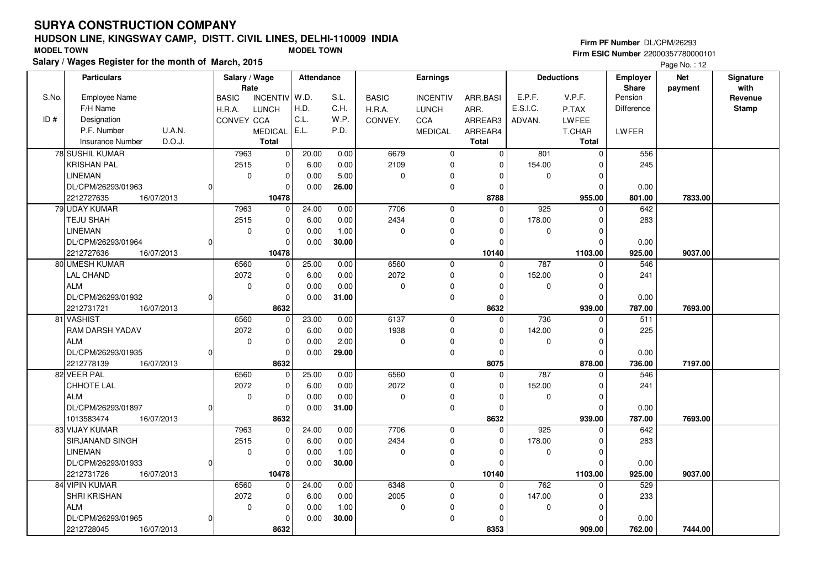# **HUDSON LINE, KINGSWAY CAMP, DISTT. CIVIL LINES, DELHI-110009 INDIASalary / Wages Register for the month of March, 2015 MODEL TOWN MODEL TOWN**

#### **Firm PF Number** DL/CPM/26293

 **Firm ESIC Number** 22000357780000101Page No.: 12

|       | <b>Particulars</b>                | Salary / Wage |                 | <b>Attendance</b> |       |              | Earnings        |              |          | <b>Deductions</b> | <b>Employer</b> | <b>Net</b> | Signature    |
|-------|-----------------------------------|---------------|-----------------|-------------------|-------|--------------|-----------------|--------------|----------|-------------------|-----------------|------------|--------------|
|       |                                   | Rate          |                 |                   |       |              |                 |              |          |                   | Share           | payment    | with         |
| S.No. | <b>Employee Name</b>              | <b>BASIC</b>  | <b>INCENTIV</b> | W.D.              | S.L.  | <b>BASIC</b> | <b>INCENTIV</b> | ARR.BASI     | E.P.F.   | V.P.F.            | Pension         |            | Revenue      |
|       | F/H Name                          | H.R.A.        | <b>LUNCH</b>    | H.D.              | C.H.  | H.R.A.       | <b>LUNCH</b>    | ARR.         | E.S.I.C. | P.TAX             | Difference      |            | <b>Stamp</b> |
| ID#   | Designation                       | CONVEY CCA    |                 | C.L.              | W.P.  | CONVEY.      | <b>CCA</b>      | ARREAR3      | ADVAN.   | <b>LWFEE</b>      |                 |            |              |
|       | P.F. Number<br>U.A.N.             |               | MEDICAL E.L.    |                   | P.D.  |              | <b>MEDICAL</b>  | ARREAR4      |          | T.CHAR            | <b>LWFER</b>    |            |              |
|       | D.O.J.<br><b>Insurance Number</b> |               | <b>Total</b>    |                   |       |              |                 | <b>Total</b> |          | Total             |                 |            |              |
|       | 78 SUSHIL KUMAR                   | 7963          | 0               | 20.00             | 0.00  | 6679         | $\mathbf 0$     | $\Omega$     | 801      | $\mathbf 0$       | 556             |            |              |
|       | <b>KRISHAN PAL</b>                | 2515          | $\Omega$        | 6.00              | 0.00  | 2109         | $\mathbf 0$     | $\Omega$     | 154.00   | O                 | 245             |            |              |
|       | <b>LINEMAN</b>                    | $\mathbf 0$   | $\mathbf 0$     | 0.00              | 5.00  | 0            | 0               | $\Omega$     | 0        | $\Omega$          |                 |            |              |
|       | DL/CPM/26293/01963                |               | $\Omega$        | 0.00              | 26.00 |              | $\mathbf 0$     | 0            |          | $\Omega$          | 0.00            |            |              |
|       | 2212727635<br>16/07/2013          |               | 10478           |                   |       |              |                 | 8788         |          | 955.00            | 801.00          | 7833.00    |              |
|       | 79 UDAY KUMAR                     | 7963          | $\Omega$        | 24.00             | 0.00  | 7706         | $\mathbf 0$     | 0            | 925      | $\Omega$          | 642             |            |              |
|       | TEJU SHAH                         | 2515          | $\mathbf 0$     | 6.00              | 0.00  | 2434         | $\mathbf 0$     | $\Omega$     | 178.00   | $\Omega$          | 283             |            |              |
|       | <b>LINEMAN</b>                    | 0             | $\mathbf 0$     | 0.00              | 1.00  | 0            | $\mathbf 0$     | $\mathbf 0$  | 0        | $\Omega$          |                 |            |              |
|       | DL/CPM/26293/01964                |               | $\Omega$        | 0.00              | 30.00 |              | $\mathbf 0$     | $\Omega$     |          | $\Omega$          | 0.00            |            |              |
|       | 2212727636<br>16/07/2013          |               | 10478           |                   |       |              |                 | 10140        |          | 1103.00           | 925.00          | 9037.00    |              |
|       | 80 UMESH KUMAR                    | 6560          | $\mathbf 0$     | 25.00             | 0.00  | 6560         | $\mathbf 0$     | $\Omega$     | 787      | $\Omega$          | 546             |            |              |
|       | <b>LAL CHAND</b>                  | 2072          | $\mathbf 0$     | 6.00              | 0.00  | 2072         | $\mathbf 0$     | $\mathbf 0$  | 152.00   | $\mathbf 0$       | 241             |            |              |
|       | <b>ALM</b>                        | $\mathbf 0$   | $\mathbf 0$     | 0.00              | 0.00  | 0            | 0               | $\Omega$     | 0        | $\Omega$          |                 |            |              |
|       | DL/CPM/26293/01932                |               | $\Omega$        | 0.00              | 31.00 |              | 0               | $\mathbf 0$  |          | $\Omega$          | 0.00            |            |              |
|       | 2212731721<br>16/07/2013          |               | 8632            |                   |       |              |                 | 8632         |          | 939.00            | 787.00          | 7693.00    |              |
|       | 81 VASHIST                        | 6560          | 0               | 23.00             | 0.00  | 6137         | $\mathbf 0$     | $\mathbf 0$  | 736      | $\mathbf 0$       | 511             |            |              |
|       | RAM DARSH YADAV                   | 2072          | $\mathbf 0$     | 6.00              | 0.00  | 1938         | $\mathbf 0$     | $\mathbf 0$  | 142.00   | $\Omega$          | 225             |            |              |
|       | <b>ALM</b>                        | 0             | $\mathbf 0$     | 0.00              | 2.00  | 0            | $\pmb{0}$       | $\Omega$     | 0        | $\Omega$          |                 |            |              |
|       | DL/CPM/26293/01935                |               | $\Omega$        | 0.00              | 29.00 |              | $\mathsf 0$     | 0            |          | $\Omega$          | 0.00            |            |              |
|       | 2212778139<br>16/07/2013          |               | 8632            |                   |       |              |                 | 8075         |          | 878.00            | 736.00          | 7197.00    |              |
|       | 82 VEER PAL                       | 6560          | $\mathbf 0$     | 25.00             | 0.00  | 6560         | $\mathbf 0$     | $\mathbf 0$  | 787      | $\Omega$          | 546             |            |              |
|       | CHHOTE LAL                        | 2072          | $\mathbf 0$     | 6.00              | 0.00  | 2072         | $\mathbf 0$     | $\mathbf 0$  | 152.00   | $\Omega$          | 241             |            |              |
|       | <b>ALM</b>                        | 0             | $\mathbf 0$     | 0.00              | 0.00  | 0            | $\pmb{0}$       | $\Omega$     | 0        | $\mathbf 0$       |                 |            |              |
|       | DL/CPM/26293/01897                |               | $\mathbf 0$     | 0.00              | 31.00 |              | $\mathbf 0$     | $\Omega$     |          | $\Omega$          | 0.00            |            |              |
|       | 1013583474<br>16/07/2013          |               | 8632            |                   |       |              |                 | 8632         |          | 939.00            | 787.00          | 7693.00    |              |
|       | 83 VIJAY KUMAR                    | 7963          | $\mathbf 0$     | 24.00             | 0.00  | 7706         | $\mathbf 0$     | $\Omega$     | 925      | $\Omega$          | 642             |            |              |
|       | SIRJANAND SINGH                   | 2515          | $\pmb{0}$       | 6.00              | 0.00  | 2434         | $\mathbf 0$     | $\Omega$     | 178.00   | $\Omega$          | 283             |            |              |
|       | <b>LINEMAN</b>                    | 0             | $\mathbf 0$     | 0.00              | 1.00  | 0            | $\mathbf 0$     | $\Omega$     | 0        | $\Omega$          |                 |            |              |
|       | DL/CPM/26293/01933<br>O           |               | $\Omega$        | 0.00              | 30.00 |              | $\mathbf 0$     | $\mathbf 0$  |          | $\Omega$          | 0.00            |            |              |
|       | 2212731726<br>16/07/2013          |               | 10478           |                   |       |              |                 | 10140        |          | 1103.00           | 925.00          | 9037.00    |              |
|       | 84 VIPIN KUMAR                    | 6560          | 0               | 24.00             | 0.00  | 6348         | $\mathbf 0$     | $\mathbf 0$  | 762      | $\Omega$          | 529             |            |              |
|       | SHRI KRISHAN                      | 2072          | $\Omega$        | 6.00              | 0.00  | 2005         | $\mathbf 0$     | $\mathbf 0$  | 147.00   | $\Omega$          | 233             |            |              |
|       | <b>ALM</b>                        | $\mathbf 0$   | $\mathbf 0$     | 0.00              | 1.00  | 0            | 0               | $\mathbf 0$  | 0        | $\Omega$          |                 |            |              |
|       | DL/CPM/26293/01965                |               | $\Omega$        | 0.00              | 30.00 |              | $\mathbf 0$     | $\mathbf 0$  |          | $\Omega$          | 0.00            |            |              |
|       | 2212728045<br>16/07/2013          |               | 8632            |                   |       |              |                 | 8353         |          | 909.00            | 762.00          | 7444.00    |              |